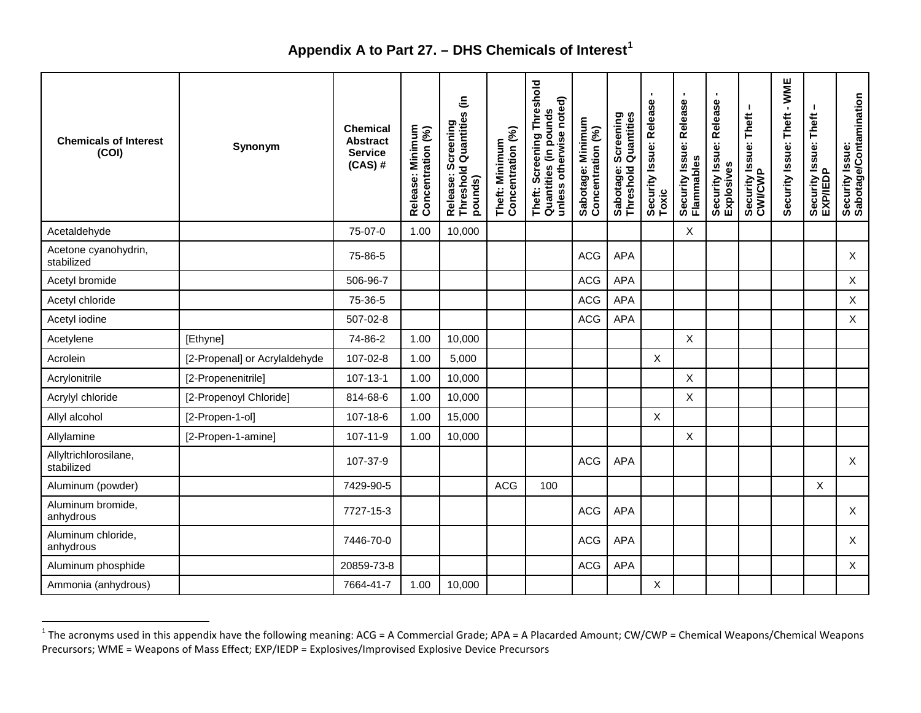## <span id="page-0-0"></span>**Appendix A to Part 27. – DHS Chemicals of Interest[1](#page-0-0)**

| <b>Chemicals of Interest</b><br>(COI) | Synonym                       | Chemical<br><b>Abstract</b><br><b>Service</b><br>$(CAS)$ # | Release: Minimum<br>Concentration (%) | Release: Screening<br>Threshold Quantities (in<br>pounds) | Concentration (%)<br>Theft: Minimum | Screening Threshold<br>unless otherwise noted)<br>Quantities (in pounds<br>Theft: | Sabotage: Minimum<br>Concentration (%) | Screening<br>  Quantities<br>Sabotage: \$ | Security Issue: Release<br>Toxic | $\blacksquare$<br>Security Issue: Release<br>Flammables | ٠<br>Security Issue: Release<br>Explosives | Security Issue: Theft<br>CWI/CWP | $-WME$<br>Theft<br>Security Issue: | Security Issue: Theft<br>EXP/IEDP | Security Issue:<br>Sabotage/Contamination |
|---------------------------------------|-------------------------------|------------------------------------------------------------|---------------------------------------|-----------------------------------------------------------|-------------------------------------|-----------------------------------------------------------------------------------|----------------------------------------|-------------------------------------------|----------------------------------|---------------------------------------------------------|--------------------------------------------|----------------------------------|------------------------------------|-----------------------------------|-------------------------------------------|
| Acetaldehyde                          |                               | 75-07-0                                                    | 1.00                                  | 10,000                                                    |                                     |                                                                                   |                                        |                                           |                                  | X                                                       |                                            |                                  |                                    |                                   |                                           |
| Acetone cyanohydrin,<br>stabilized    |                               | 75-86-5                                                    |                                       |                                                           |                                     |                                                                                   | <b>ACG</b>                             | <b>APA</b>                                |                                  |                                                         |                                            |                                  |                                    |                                   | X                                         |
| Acetyl bromide                        |                               | 506-96-7                                                   |                                       |                                                           |                                     |                                                                                   | <b>ACG</b>                             | <b>APA</b>                                |                                  |                                                         |                                            |                                  |                                    |                                   | X                                         |
| Acetyl chloride                       |                               | 75-36-5                                                    |                                       |                                                           |                                     |                                                                                   | <b>ACG</b>                             | <b>APA</b>                                |                                  |                                                         |                                            |                                  |                                    |                                   | X                                         |
| Acetyl iodine                         |                               | 507-02-8                                                   |                                       |                                                           |                                     |                                                                                   | <b>ACG</b>                             | <b>APA</b>                                |                                  |                                                         |                                            |                                  |                                    |                                   | X                                         |
| Acetylene                             | [Ethyne]                      | 74-86-2                                                    | 1.00                                  | 10,000                                                    |                                     |                                                                                   |                                        |                                           |                                  | X                                                       |                                            |                                  |                                    |                                   |                                           |
| Acrolein                              | [2-Propenal] or Acrylaldehyde | 107-02-8                                                   | 1.00                                  | 5,000                                                     |                                     |                                                                                   |                                        |                                           | $\times$                         |                                                         |                                            |                                  |                                    |                                   |                                           |
| Acrylonitrile                         | [2-Propenenitrile]            | $107 - 13 - 1$                                             | 1.00                                  | 10,000                                                    |                                     |                                                                                   |                                        |                                           |                                  | $\mathsf{X}$                                            |                                            |                                  |                                    |                                   |                                           |
| Acrylyl chloride                      | [2-Propenoyl Chloride]        | 814-68-6                                                   | 1.00                                  | 10,000                                                    |                                     |                                                                                   |                                        |                                           |                                  | X                                                       |                                            |                                  |                                    |                                   |                                           |
| Allyl alcohol                         | [2-Propen-1-ol]               | 107-18-6                                                   | 1.00                                  | 15,000                                                    |                                     |                                                                                   |                                        |                                           | X                                |                                                         |                                            |                                  |                                    |                                   |                                           |
| Allylamine                            | [2-Propen-1-amine]            | $107 - 11 - 9$                                             | 1.00                                  | 10,000                                                    |                                     |                                                                                   |                                        |                                           |                                  | X                                                       |                                            |                                  |                                    |                                   |                                           |
| Allyltrichlorosilane,<br>stabilized   |                               | 107-37-9                                                   |                                       |                                                           |                                     |                                                                                   | <b>ACG</b>                             | <b>APA</b>                                |                                  |                                                         |                                            |                                  |                                    |                                   | $\mathsf{X}$                              |
| Aluminum (powder)                     |                               | 7429-90-5                                                  |                                       |                                                           | <b>ACG</b>                          | 100                                                                               |                                        |                                           |                                  |                                                         |                                            |                                  |                                    | X                                 |                                           |
| Aluminum bromide,<br>anhydrous        |                               | 7727-15-3                                                  |                                       |                                                           |                                     |                                                                                   | ACG                                    | <b>APA</b>                                |                                  |                                                         |                                            |                                  |                                    |                                   | X                                         |
| Aluminum chloride,<br>anhydrous       |                               | 7446-70-0                                                  |                                       |                                                           |                                     |                                                                                   | <b>ACG</b>                             | <b>APA</b>                                |                                  |                                                         |                                            |                                  |                                    |                                   | X                                         |
| Aluminum phosphide                    |                               | 20859-73-8                                                 |                                       |                                                           |                                     |                                                                                   | <b>ACG</b>                             | <b>APA</b>                                |                                  |                                                         |                                            |                                  |                                    |                                   | X                                         |
| Ammonia (anhydrous)                   |                               | 7664-41-7                                                  | 1.00                                  | 10,000                                                    |                                     |                                                                                   |                                        |                                           | X                                |                                                         |                                            |                                  |                                    |                                   |                                           |

 $^1$  The acronyms used in this appendix have the following meaning: ACG = A Commercial Grade; APA = A Placarded Amount; CW/CWP = Chemical Weapons/Chemical Weapons Precursors; WME = Weapons of Mass Effect; EXP/IEDP = Explosives/Improvised Explosive Device Precursors

l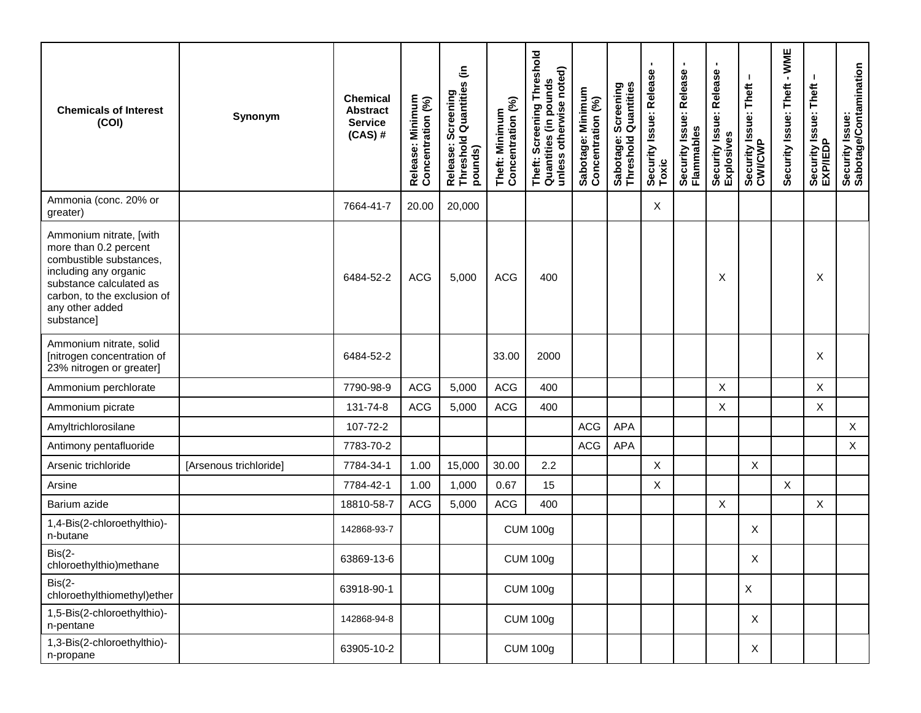| <b>Chemicals of Interest</b><br>(COI)                                                                                                                                                           | Synonym                | Chemical<br><b>Abstract</b><br><b>Service</b><br>$(CAS)$ # | Release: Minimum<br>Concentration (%) | Release: Screening<br>Threshold Quantities (in<br>pounds) | Concentration (%)<br>Theft: Minimum | Screening Threshold<br>unless otherwise noted)<br>Theft: Screening Inre<br>Quantities (in pounds | Sabotage: Minimum<br>Concentration (%) | Screening<br>  Quantities<br>Sabotage: \$ | Security Issue: Release<br>Toxic | ٠<br>Security Issue: Release<br>Flammables | ٠<br>Security Issue: Release<br>Explosives | л.<br>Security Issue: Theft<br>CWI/CWP | $-WME$<br>Security Issue: Theft | Security Issue: Theft<br>EXP/IEDP | Security Issue:<br>Sabotage/Contamination |
|-------------------------------------------------------------------------------------------------------------------------------------------------------------------------------------------------|------------------------|------------------------------------------------------------|---------------------------------------|-----------------------------------------------------------|-------------------------------------|--------------------------------------------------------------------------------------------------|----------------------------------------|-------------------------------------------|----------------------------------|--------------------------------------------|--------------------------------------------|----------------------------------------|---------------------------------|-----------------------------------|-------------------------------------------|
| Ammonia (conc. 20% or<br>greater)                                                                                                                                                               |                        | 7664-41-7                                                  | 20.00                                 | 20,000                                                    |                                     |                                                                                                  |                                        |                                           | Χ                                |                                            |                                            |                                        |                                 |                                   |                                           |
| Ammonium nitrate, [with<br>more than 0.2 percent<br>combustible substances,<br>including any organic<br>substance calculated as<br>carbon, to the exclusion of<br>any other added<br>substance] |                        | 6484-52-2                                                  | ACG                                   | 5,000                                                     | <b>ACG</b>                          | 400                                                                                              |                                        |                                           |                                  |                                            | X                                          |                                        |                                 | X                                 |                                           |
| Ammonium nitrate, solid<br>[nitrogen concentration of<br>23% nitrogen or greater]                                                                                                               |                        | 6484-52-2                                                  |                                       |                                                           | 33.00                               | 2000                                                                                             |                                        |                                           |                                  |                                            |                                            |                                        |                                 | X                                 |                                           |
| Ammonium perchlorate                                                                                                                                                                            |                        | 7790-98-9                                                  | ACG                                   | 5,000                                                     | ACG                                 | 400                                                                                              |                                        |                                           |                                  |                                            | X                                          |                                        |                                 | X                                 |                                           |
| Ammonium picrate                                                                                                                                                                                |                        | 131-74-8                                                   | ACG                                   | 5,000                                                     | <b>ACG</b>                          | 400                                                                                              |                                        |                                           |                                  |                                            | Χ                                          |                                        |                                 | X                                 |                                           |
| Amyltrichlorosilane                                                                                                                                                                             |                        | 107-72-2                                                   |                                       |                                                           |                                     |                                                                                                  | ACG                                    | <b>APA</b>                                |                                  |                                            |                                            |                                        |                                 |                                   | $\mathsf{X}$                              |
| Antimony pentafluoride                                                                                                                                                                          |                        | 7783-70-2                                                  |                                       |                                                           |                                     |                                                                                                  | ACG                                    | <b>APA</b>                                |                                  |                                            |                                            |                                        |                                 |                                   | $\mathsf{X}$                              |
| Arsenic trichloride                                                                                                                                                                             | [Arsenous trichloride] | 7784-34-1                                                  | 1.00                                  | 15,000                                                    | 30.00                               | 2.2                                                                                              |                                        |                                           | $\pmb{\times}$                   |                                            |                                            | X                                      |                                 |                                   |                                           |
| Arsine                                                                                                                                                                                          |                        | 7784-42-1                                                  | 1.00                                  | 1,000                                                     | 0.67                                | 15                                                                                               |                                        |                                           | Χ                                |                                            |                                            |                                        | X                               |                                   |                                           |
| Barium azide                                                                                                                                                                                    |                        | 18810-58-7                                                 | ACG                                   | 5,000                                                     | ACG                                 | 400                                                                                              |                                        |                                           |                                  |                                            | X                                          |                                        |                                 | X                                 |                                           |
| 1,4-Bis(2-chloroethylthio)-<br>n-butane                                                                                                                                                         |                        | 142868-93-7                                                |                                       |                                                           |                                     | <b>CUM 100g</b>                                                                                  |                                        |                                           |                                  |                                            |                                            | X                                      |                                 |                                   |                                           |
| $Bis(2-$<br>chloroethylthio)methane                                                                                                                                                             |                        | 63869-13-6                                                 |                                       |                                                           |                                     | <b>CUM 100g</b>                                                                                  |                                        |                                           |                                  |                                            |                                            | X                                      |                                 |                                   |                                           |
| $Bis(2-$<br>chloroethylthiomethyl)ether                                                                                                                                                         |                        | 63918-90-1                                                 |                                       |                                                           |                                     | <b>CUM 100g</b>                                                                                  |                                        |                                           |                                  |                                            |                                            | $\mathsf{X}$                           |                                 |                                   |                                           |
| 1,5-Bis(2-chloroethylthio)-<br>n-pentane                                                                                                                                                        |                        | 142868-94-8                                                |                                       |                                                           |                                     | <b>CUM 100g</b>                                                                                  |                                        |                                           |                                  |                                            |                                            | X                                      |                                 |                                   |                                           |
| 1,3-Bis(2-chloroethylthio)-<br>n-propane                                                                                                                                                        |                        | 63905-10-2                                                 |                                       |                                                           |                                     | <b>CUM 100g</b>                                                                                  |                                        |                                           |                                  |                                            |                                            | X                                      |                                 |                                   |                                           |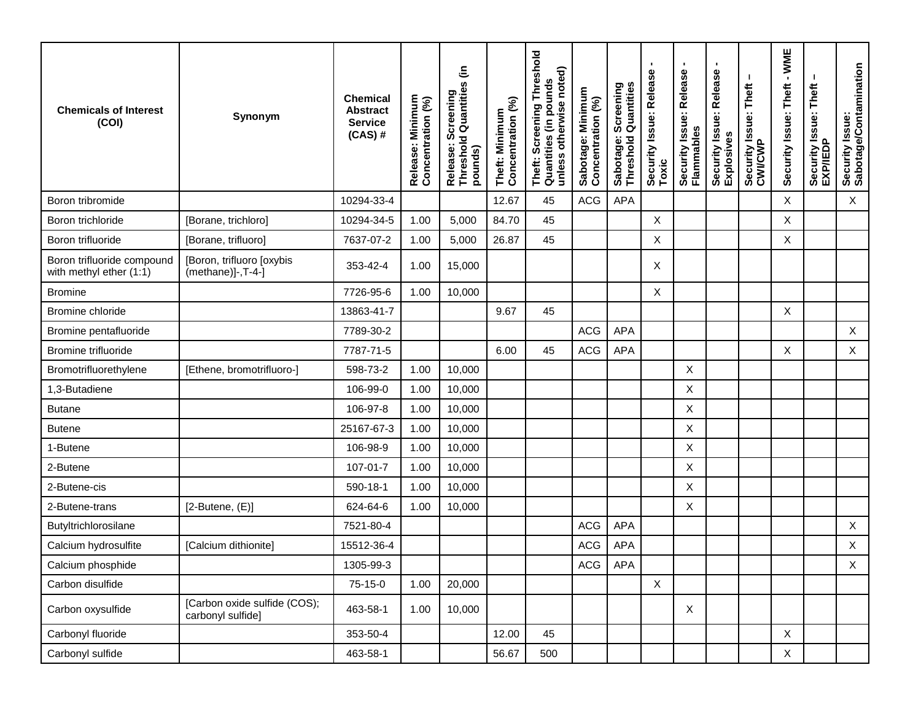| <b>Chemicals of Interest</b><br>(COI)                 | Synonym                                            | <b>Chemical</b><br><b>Abstract</b><br><b>Service</b><br>$(CAS)$ # | Release: Minimum<br>Concentration (%) | Release: Screening<br>Threshold Quantities (in<br>pounds) | Theft: Minimum<br>Concentration (%) | eshold<br>unless otherwise noted)<br>Theft: Screening Thre<br>Quantities (in pounds | Sabotage: Minimum<br>Concentration (%) | : Screening<br>I Quantities<br>Sabotage:<br>Threshold ( | $\blacksquare$<br>Security Issue: Release<br>Toxic | ٠<br>Security Issue: Release<br>Flammables | ٠<br>Security Issue: Release<br>Explosives | Security Issue: Theft<br>CWI/CWP | $-WME$<br>Security Issue: Theft | Security Issue: Theft<br>EXP/IEDP | Security Issue:<br>Sabotage/Contamination |
|-------------------------------------------------------|----------------------------------------------------|-------------------------------------------------------------------|---------------------------------------|-----------------------------------------------------------|-------------------------------------|-------------------------------------------------------------------------------------|----------------------------------------|---------------------------------------------------------|----------------------------------------------------|--------------------------------------------|--------------------------------------------|----------------------------------|---------------------------------|-----------------------------------|-------------------------------------------|
| Boron tribromide                                      |                                                    | 10294-33-4                                                        |                                       |                                                           | 12.67                               | 45                                                                                  | <b>ACG</b>                             | <b>APA</b>                                              |                                                    |                                            |                                            |                                  | X                               |                                   | $\mathsf X$                               |
| Boron trichloride                                     | [Borane, trichloro]                                | 10294-34-5                                                        | 1.00                                  | 5,000                                                     | 84.70                               | 45                                                                                  |                                        |                                                         | X                                                  |                                            |                                            |                                  | X                               |                                   |                                           |
| Boron trifluoride                                     | [Borane, trifluoro]                                | 7637-07-2                                                         | 1.00                                  | 5,000                                                     | 26.87                               | 45                                                                                  |                                        |                                                         | X                                                  |                                            |                                            |                                  | X                               |                                   |                                           |
| Boron trifluoride compound<br>with methyl ether (1:1) | [Boron, trifluoro [oxybis<br>$(methane)]$ -, T-4-] | 353-42-4                                                          | 1.00                                  | 15,000                                                    |                                     |                                                                                     |                                        |                                                         | Χ                                                  |                                            |                                            |                                  |                                 |                                   |                                           |
| <b>Bromine</b>                                        |                                                    | 7726-95-6                                                         | 1.00                                  | 10,000                                                    |                                     |                                                                                     |                                        |                                                         | X                                                  |                                            |                                            |                                  |                                 |                                   |                                           |
| Bromine chloride                                      |                                                    | 13863-41-7                                                        |                                       |                                                           | 9.67                                | 45                                                                                  |                                        |                                                         |                                                    |                                            |                                            |                                  | X                               |                                   |                                           |
| Bromine pentafluoride                                 |                                                    | 7789-30-2                                                         |                                       |                                                           |                                     |                                                                                     | ACG                                    | <b>APA</b>                                              |                                                    |                                            |                                            |                                  |                                 |                                   | $\mathsf{X}$                              |
| <b>Bromine trifluoride</b>                            |                                                    | 7787-71-5                                                         |                                       |                                                           | 6.00                                | 45                                                                                  | <b>ACG</b>                             | <b>APA</b>                                              |                                                    |                                            |                                            |                                  | X                               |                                   | $\mathsf{X}$                              |
| Bromotrifluorethylene                                 | [Ethene, bromotrifluoro-]                          | 598-73-2                                                          | 1.00                                  | 10,000                                                    |                                     |                                                                                     |                                        |                                                         |                                                    | X                                          |                                            |                                  |                                 |                                   |                                           |
| 1,3-Butadiene                                         |                                                    | 106-99-0                                                          | 1.00                                  | 10,000                                                    |                                     |                                                                                     |                                        |                                                         |                                                    | $\boldsymbol{\mathsf{X}}$                  |                                            |                                  |                                 |                                   |                                           |
| <b>Butane</b>                                         |                                                    | 106-97-8                                                          | 1.00                                  | 10,000                                                    |                                     |                                                                                     |                                        |                                                         |                                                    | X                                          |                                            |                                  |                                 |                                   |                                           |
| <b>Butene</b>                                         |                                                    | 25167-67-3                                                        | 1.00                                  | 10,000                                                    |                                     |                                                                                     |                                        |                                                         |                                                    | X                                          |                                            |                                  |                                 |                                   |                                           |
| 1-Butene                                              |                                                    | 106-98-9                                                          | 1.00                                  | 10,000                                                    |                                     |                                                                                     |                                        |                                                         |                                                    | $\boldsymbol{X}$                           |                                            |                                  |                                 |                                   |                                           |
| 2-Butene                                              |                                                    | 107-01-7                                                          | 1.00                                  | 10,000                                                    |                                     |                                                                                     |                                        |                                                         |                                                    | X                                          |                                            |                                  |                                 |                                   |                                           |
| 2-Butene-cis                                          |                                                    | 590-18-1                                                          | 1.00                                  | 10,000                                                    |                                     |                                                                                     |                                        |                                                         |                                                    | $\boldsymbol{X}$                           |                                            |                                  |                                 |                                   |                                           |
| 2-Butene-trans                                        | $[2$ -Butene, $(E)]$                               | 624-64-6                                                          | 1.00                                  | 10,000                                                    |                                     |                                                                                     |                                        |                                                         |                                                    | Χ                                          |                                            |                                  |                                 |                                   |                                           |
| Butyltrichlorosilane                                  |                                                    | 7521-80-4                                                         |                                       |                                                           |                                     |                                                                                     | <b>ACG</b>                             | <b>APA</b>                                              |                                                    |                                            |                                            |                                  |                                 |                                   | $\mathsf{X}$                              |
| Calcium hydrosulfite                                  | [Calcium dithionite]                               | 15512-36-4                                                        |                                       |                                                           |                                     |                                                                                     | <b>ACG</b>                             | <b>APA</b>                                              |                                                    |                                            |                                            |                                  |                                 |                                   | $\mathsf X$                               |
| Calcium phosphide                                     |                                                    | 1305-99-3                                                         |                                       |                                                           |                                     |                                                                                     |                                        | ACG APA                                                 |                                                    |                                            |                                            |                                  |                                 |                                   | $\mathsf X$                               |
| Carbon disulfide                                      |                                                    | 75-15-0                                                           | 1.00                                  | 20,000                                                    |                                     |                                                                                     |                                        |                                                         | $\mathsf X$                                        |                                            |                                            |                                  |                                 |                                   |                                           |
| Carbon oxysulfide                                     | [Carbon oxide sulfide (COS);<br>carbonyl sulfide]  | 463-58-1                                                          | 1.00                                  | 10,000                                                    |                                     |                                                                                     |                                        |                                                         |                                                    | $\boldsymbol{\mathsf{X}}$                  |                                            |                                  |                                 |                                   |                                           |
| Carbonyl fluoride                                     |                                                    | 353-50-4                                                          |                                       |                                                           | 12.00                               | 45                                                                                  |                                        |                                                         |                                                    |                                            |                                            |                                  | $\mathsf{X}$                    |                                   |                                           |
| Carbonyl sulfide                                      |                                                    | 463-58-1                                                          |                                       |                                                           | 56.67                               | 500                                                                                 |                                        |                                                         |                                                    |                                            |                                            |                                  | $\mathsf X$                     |                                   |                                           |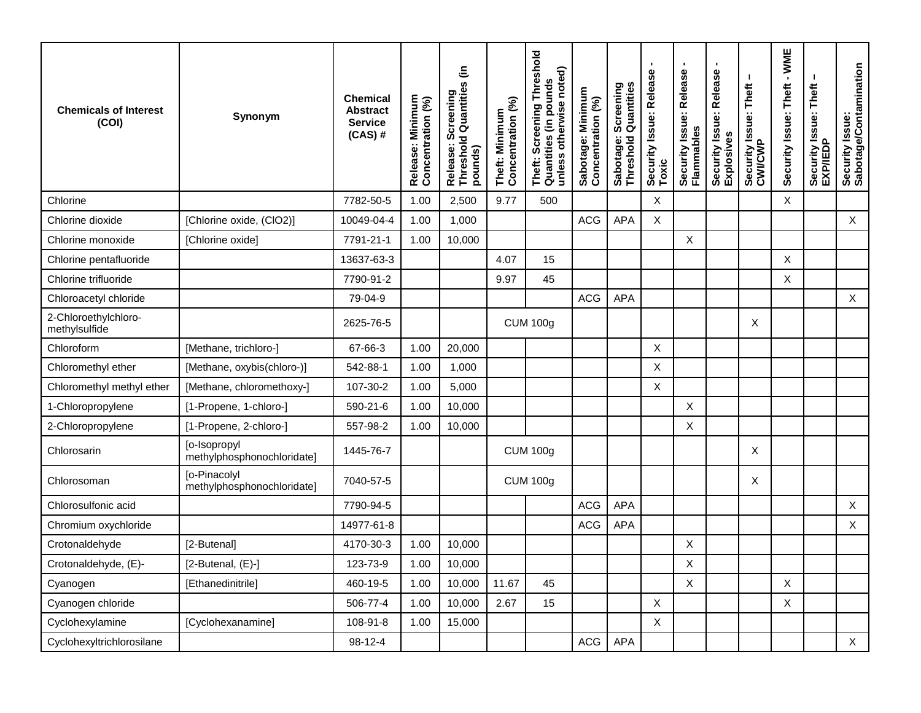| <b>Chemicals of Interest</b><br>(COI) | Synonym                                    | <b>Chemical</b><br><b>Abstract</b><br><b>Service</b><br>$(CAS)$ # | Release: Minimum<br>Concentration (%) | Release: Screening<br>Threshold Quantities (in<br>pounds) | Theft: Minimum<br>Concentration (%) | eshold<br>unless otherwise noted)<br>Theft: Screening Thre<br>Quantities (in pounds<br>Screening | Sabotage: Minimum<br>Concentration (%) | Screening<br>  Quantities<br>Sabotage:<br>Threshold ( | Φ<br>Security Issue: Releas<br>Toxic | $\blacksquare$<br>Security Issue: Release<br>Flammables | Security Issue: Release<br>Explosives | Security Issue: Theft<br>CWI/CWP | $-WME$<br>Security Issue: Theft | <b>Issue: Theft</b><br>Security<br>EXP/IEDF | Security Issue:<br>Sabotage/Contamination |
|---------------------------------------|--------------------------------------------|-------------------------------------------------------------------|---------------------------------------|-----------------------------------------------------------|-------------------------------------|--------------------------------------------------------------------------------------------------|----------------------------------------|-------------------------------------------------------|--------------------------------------|---------------------------------------------------------|---------------------------------------|----------------------------------|---------------------------------|---------------------------------------------|-------------------------------------------|
| Chlorine                              |                                            | 7782-50-5                                                         | 1.00                                  | 2,500                                                     | 9.77                                | 500                                                                                              |                                        |                                                       | X                                    |                                                         |                                       |                                  | Χ                               |                                             |                                           |
| Chlorine dioxide                      | [Chlorine oxide, (CIO2)]                   | 10049-04-4                                                        | 1.00                                  | 1,000                                                     |                                     |                                                                                                  | <b>ACG</b>                             | APA                                                   | X                                    |                                                         |                                       |                                  |                                 |                                             | $\mathsf X$                               |
| Chlorine monoxide                     | [Chlorine oxide]                           | 7791-21-1                                                         | 1.00                                  | 10,000                                                    |                                     |                                                                                                  |                                        |                                                       |                                      | Χ                                                       |                                       |                                  |                                 |                                             |                                           |
| Chlorine pentafluoride                |                                            | 13637-63-3                                                        |                                       |                                                           | 4.07                                | 15                                                                                               |                                        |                                                       |                                      |                                                         |                                       |                                  | X                               |                                             |                                           |
| Chlorine trifluoride                  |                                            | 7790-91-2                                                         |                                       |                                                           | 9.97                                | 45                                                                                               |                                        |                                                       |                                      |                                                         |                                       |                                  | X                               |                                             |                                           |
| Chloroacetyl chloride                 |                                            | 79-04-9                                                           |                                       |                                                           |                                     |                                                                                                  | ACG                                    | <b>APA</b>                                            |                                      |                                                         |                                       |                                  |                                 |                                             | $\mathsf X$                               |
| 2-Chloroethylchloro-<br>methylsulfide |                                            | 2625-76-5                                                         |                                       |                                                           |                                     | <b>CUM 100g</b>                                                                                  |                                        |                                                       |                                      |                                                         |                                       | X                                |                                 |                                             |                                           |
| Chloroform                            | [Methane, trichloro-]                      | 67-66-3                                                           | 1.00                                  | 20,000                                                    |                                     |                                                                                                  |                                        |                                                       | X                                    |                                                         |                                       |                                  |                                 |                                             |                                           |
| Chloromethyl ether                    | [Methane, oxybis(chloro-)]                 | 542-88-1                                                          | 1.00                                  | 1,000                                                     |                                     |                                                                                                  |                                        |                                                       | X                                    |                                                         |                                       |                                  |                                 |                                             |                                           |
| Chloromethyl methyl ether             | [Methane, chloromethoxy-]                  | 107-30-2                                                          | 1.00                                  | 5,000                                                     |                                     |                                                                                                  |                                        |                                                       | X                                    |                                                         |                                       |                                  |                                 |                                             |                                           |
| 1-Chloropropylene                     | [1-Propene, 1-chloro-]                     | 590-21-6                                                          | 1.00                                  | 10,000                                                    |                                     |                                                                                                  |                                        |                                                       |                                      | X                                                       |                                       |                                  |                                 |                                             |                                           |
| 2-Chloropropylene                     | [1-Propene, 2-chloro-]                     | 557-98-2                                                          | 1.00                                  | 10,000                                                    |                                     |                                                                                                  |                                        |                                                       |                                      | X                                                       |                                       |                                  |                                 |                                             |                                           |
| Chlorosarin                           | [o-Isopropyl<br>methylphosphonochloridate] | 1445-76-7                                                         |                                       |                                                           |                                     | <b>CUM 100g</b>                                                                                  |                                        |                                                       |                                      |                                                         |                                       | Χ                                |                                 |                                             |                                           |
| Chlorosoman                           | [o-Pinacolyl<br>methylphosphonochloridate] | 7040-57-5                                                         |                                       |                                                           |                                     | <b>CUM 100g</b>                                                                                  |                                        |                                                       |                                      |                                                         |                                       | X                                |                                 |                                             |                                           |
| Chlorosulfonic acid                   |                                            | 7790-94-5                                                         |                                       |                                                           |                                     |                                                                                                  | <b>ACG</b>                             | <b>APA</b>                                            |                                      |                                                         |                                       |                                  |                                 |                                             | X                                         |
| Chromium oxychloride                  |                                            | 14977-61-8                                                        |                                       |                                                           |                                     |                                                                                                  | <b>ACG</b>                             | <b>APA</b>                                            |                                      |                                                         |                                       |                                  |                                 |                                             | $\mathsf X$                               |
| Crotonaldehyde                        | [2-Butenal]                                | 4170-30-3                                                         | 1.00                                  | 10,000                                                    |                                     |                                                                                                  |                                        |                                                       |                                      | Χ                                                       |                                       |                                  |                                 |                                             |                                           |
| Crotonaldehyde, (E)-                  | $[2$ -Butenal, $(E)$ - $]$                 | 123-73-9                                                          | 1.00                                  | 10,000                                                    |                                     |                                                                                                  |                                        |                                                       |                                      | X                                                       |                                       |                                  |                                 |                                             |                                           |
| Cyanogen                              | [Ethanedinitrile]                          | 460-19-5                                                          | 1.00                                  | 10,000                                                    | 11.67                               | 45                                                                                               |                                        |                                                       |                                      | $\sf X$                                                 |                                       |                                  | $\mathsf{X}$                    |                                             |                                           |
| Cyanogen chloride                     |                                            | 506-77-4                                                          | 1.00                                  | 10,000                                                    | 2.67                                | 15                                                                                               |                                        |                                                       | X                                    |                                                         |                                       |                                  | X                               |                                             |                                           |
| Cyclohexylamine                       | [Cyclohexanamine]                          | 108-91-8                                                          | 1.00                                  | 15,000                                                    |                                     |                                                                                                  |                                        |                                                       | X                                    |                                                         |                                       |                                  |                                 |                                             |                                           |
| Cyclohexyltrichlorosilane             |                                            | 98-12-4                                                           |                                       |                                                           |                                     |                                                                                                  | ACG                                    | APA                                                   |                                      |                                                         |                                       |                                  |                                 |                                             | X                                         |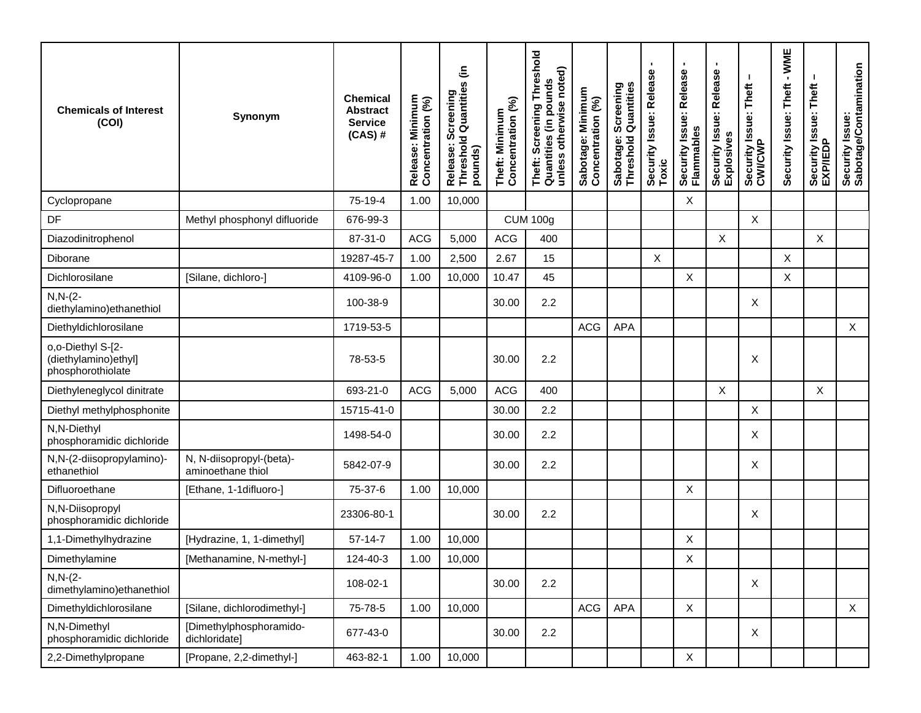| <b>Chemicals of Interest</b><br>(COI)                           | Synonym                                       | <b>Chemical</b><br><b>Abstract</b><br><b>Service</b><br>$(CAS)$ # | Release: Minimum<br>Concentration (%) | Release: Screening<br>Threshold Quantities (in<br>pounds) | Concentration (%)<br>Theft: Minimum | Theft: Screening Threshold<br>Quantities (in pounds<br>unless otherwise noted) | Sabotage: Minimum<br>Concentration (%) | Sabotage: Screening<br>Threshold Quantities | п<br>Security Issue: Release<br>Toxic | J.<br>Security Issue: Release<br>Flammables | ٠<br>Security Issue: Release<br>Explosives | Security Issue: Theft<br>CWI/CWP | - WME<br>Security Issue: Theft | Security Issue: Theft<br>EXP/IEDP | Security Issue:<br>Sabotage/Contamination |
|-----------------------------------------------------------------|-----------------------------------------------|-------------------------------------------------------------------|---------------------------------------|-----------------------------------------------------------|-------------------------------------|--------------------------------------------------------------------------------|----------------------------------------|---------------------------------------------|---------------------------------------|---------------------------------------------|--------------------------------------------|----------------------------------|--------------------------------|-----------------------------------|-------------------------------------------|
| Cyclopropane                                                    |                                               | 75-19-4                                                           | 1.00                                  | 10,000                                                    |                                     |                                                                                |                                        |                                             |                                       | $\boldsymbol{\mathsf{X}}$                   |                                            |                                  |                                |                                   |                                           |
| DF                                                              | Methyl phosphonyl difluoride                  | 676-99-3                                                          |                                       |                                                           |                                     | <b>CUM 100g</b>                                                                |                                        |                                             |                                       |                                             |                                            | X                                |                                |                                   |                                           |
| Diazodinitrophenol                                              |                                               | 87-31-0                                                           | <b>ACG</b>                            | 5,000                                                     | <b>ACG</b>                          | 400                                                                            |                                        |                                             |                                       |                                             | X                                          |                                  |                                | X                                 |                                           |
| Diborane                                                        |                                               | 19287-45-7                                                        | 1.00                                  | 2,500                                                     | 2.67                                | 15                                                                             |                                        |                                             | $\boldsymbol{\mathsf{X}}$             |                                             |                                            |                                  | Χ                              |                                   |                                           |
| Dichlorosilane                                                  | [Silane, dichloro-]                           | 4109-96-0                                                         | 1.00                                  | 10,000                                                    | 10.47                               | 45                                                                             |                                        |                                             |                                       | X                                           |                                            |                                  | Χ                              |                                   |                                           |
| $N, N-(2-$<br>diethylamino) ethanethiol                         |                                               | 100-38-9                                                          |                                       |                                                           | 30.00                               | 2.2                                                                            |                                        |                                             |                                       |                                             |                                            | X                                |                                |                                   |                                           |
| Diethyldichlorosilane                                           |                                               | 1719-53-5                                                         |                                       |                                                           |                                     |                                                                                | ACG                                    | <b>APA</b>                                  |                                       |                                             |                                            |                                  |                                |                                   | $\mathsf{X}$                              |
| o,o-Diethyl S-[2-<br>(diethylamino) ethyl]<br>phosphorothiolate |                                               | 78-53-5                                                           |                                       |                                                           | 30.00                               | 2.2                                                                            |                                        |                                             |                                       |                                             |                                            | X                                |                                |                                   |                                           |
| Diethyleneglycol dinitrate                                      |                                               | 693-21-0                                                          | <b>ACG</b>                            | 5,000                                                     | <b>ACG</b>                          | 400                                                                            |                                        |                                             |                                       |                                             | X                                          |                                  |                                | Χ                                 |                                           |
| Diethyl methylphosphonite                                       |                                               | 15715-41-0                                                        |                                       |                                                           | 30.00                               | 2.2                                                                            |                                        |                                             |                                       |                                             |                                            | X                                |                                |                                   |                                           |
| N,N-Diethyl<br>phosphoramidic dichloride                        |                                               | 1498-54-0                                                         |                                       |                                                           | 30.00                               | 2.2                                                                            |                                        |                                             |                                       |                                             |                                            | Х                                |                                |                                   |                                           |
| N,N-(2-diisopropylamino)-<br>ethanethiol                        | N, N-diisopropyl-(beta)-<br>aminoethane thiol | 5842-07-9                                                         |                                       |                                                           | 30.00                               | 2.2                                                                            |                                        |                                             |                                       |                                             |                                            | Χ                                |                                |                                   |                                           |
| Difluoroethane                                                  | [Ethane, 1-1difluoro-]                        | 75-37-6                                                           | 1.00                                  | 10,000                                                    |                                     |                                                                                |                                        |                                             |                                       | X                                           |                                            |                                  |                                |                                   |                                           |
| N,N-Diisopropyl<br>phosphoramidic dichloride                    |                                               | 23306-80-1                                                        |                                       |                                                           | 30.00                               | 2.2                                                                            |                                        |                                             |                                       |                                             |                                            | X                                |                                |                                   |                                           |
| 1,1-Dimethylhydrazine                                           | [Hydrazine, 1, 1-dimethyl]                    | $57-14-7$                                                         | 1.00                                  | 10,000                                                    |                                     |                                                                                |                                        |                                             |                                       | X                                           |                                            |                                  |                                |                                   |                                           |
| Dimethylamine                                                   | [Methanamine, N-methyl-]                      | 124-40-3                                                          | 1.00                                  | 10,000                                                    |                                     |                                                                                |                                        |                                             |                                       | X                                           |                                            |                                  |                                |                                   |                                           |
| $N, N-(2-)$<br>dimethylamino) ethanethiol                       |                                               | 108-02-1                                                          |                                       |                                                           | 30.00                               | 2.2                                                                            |                                        |                                             |                                       |                                             |                                            | X                                |                                |                                   |                                           |
| Dimethyldichlorosilane                                          | [Silane, dichlorodimethyl-]                   | 75-78-5                                                           | 1.00                                  | 10,000                                                    |                                     |                                                                                | ACG                                    | <b>APA</b>                                  |                                       | $\mathsf X$                                 |                                            |                                  |                                |                                   | X                                         |
| N,N-Dimethyl<br>phosphoramidic dichloride                       | [Dimethylphosphoramido-<br>dichloridate]      | 677-43-0                                                          |                                       |                                                           | 30.00                               | 2.2                                                                            |                                        |                                             |                                       |                                             |                                            | X                                |                                |                                   |                                           |
| 2,2-Dimethylpropane                                             | [Propane, 2,2-dimethyl-]                      | 463-82-1                                                          | 1.00                                  | 10,000                                                    |                                     |                                                                                |                                        |                                             |                                       | $\mathsf X$                                 |                                            |                                  |                                |                                   |                                           |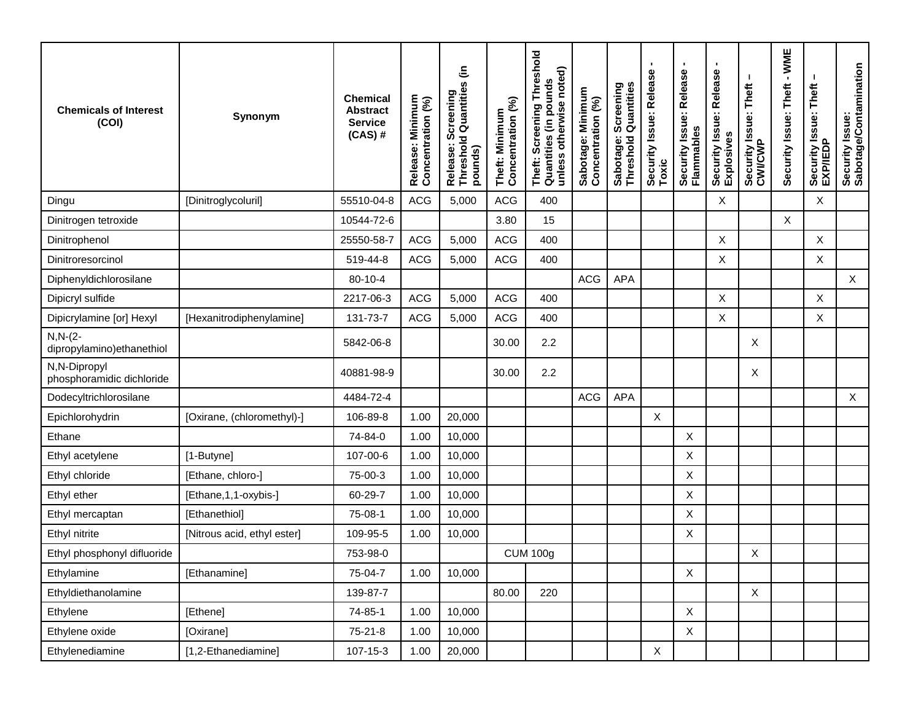| <b>Chemicals of Interest</b><br>(COI)     | Synonym                     | <b>Chemical</b><br><b>Abstract</b><br><b>Service</b><br>$(CAS)$ # | Release: Minimum<br>Concentration (%) | Release: Screening<br>Threshold Quantities (in<br>pounds) | Concentration (%)<br>Theft: Minimum | <b>Threshold</b><br>unless otherwise noted)<br>Quantities (in pounds<br>Theft: Screening | Sabotage: Minimum<br>Concentration (%) | Screening<br>Quantitie<br>Sabotage:<br>Threshold | $\blacksquare$<br>Φ<br>Security Issue: Releas<br>Toxic | ٠<br>Security Issue: Release<br>Flammables | ٠<br>Security Issue: Release<br>Explosives | Security Issue: Theft<br>CWI/CWP | $-WME$<br>Security Issue: Theft | Security Issue: Theft<br>EXP/IEDP | Security Issue:<br>Sabotage/Contamination |
|-------------------------------------------|-----------------------------|-------------------------------------------------------------------|---------------------------------------|-----------------------------------------------------------|-------------------------------------|------------------------------------------------------------------------------------------|----------------------------------------|--------------------------------------------------|--------------------------------------------------------|--------------------------------------------|--------------------------------------------|----------------------------------|---------------------------------|-----------------------------------|-------------------------------------------|
| Dingu                                     | [Dinitroglycoluril]         | 55510-04-8                                                        | <b>ACG</b>                            | 5,000                                                     | <b>ACG</b>                          | 400                                                                                      |                                        |                                                  |                                                        |                                            | X                                          |                                  |                                 | X                                 |                                           |
| Dinitrogen tetroxide                      |                             | 10544-72-6                                                        |                                       |                                                           | 3.80                                | 15                                                                                       |                                        |                                                  |                                                        |                                            |                                            |                                  | X                               |                                   |                                           |
| Dinitrophenol                             |                             | 25550-58-7                                                        | <b>ACG</b>                            | 5,000                                                     | <b>ACG</b>                          | 400                                                                                      |                                        |                                                  |                                                        |                                            | X                                          |                                  |                                 | X                                 |                                           |
| Dinitroresorcinol                         |                             | 519-44-8                                                          | ACG                                   | 5,000                                                     | <b>ACG</b>                          | 400                                                                                      |                                        |                                                  |                                                        |                                            | $\pmb{\times}$                             |                                  |                                 | X                                 |                                           |
| Diphenyldichlorosilane                    |                             | 80-10-4                                                           |                                       |                                                           |                                     |                                                                                          | <b>ACG</b>                             | <b>APA</b>                                       |                                                        |                                            |                                            |                                  |                                 |                                   | $\mathsf{X}$                              |
| Dipicryl sulfide                          |                             | 2217-06-3                                                         | <b>ACG</b>                            | 5,000                                                     | <b>ACG</b>                          | 400                                                                                      |                                        |                                                  |                                                        |                                            | X                                          |                                  |                                 | X                                 |                                           |
| Dipicrylamine [or] Hexyl                  | [Hexanitrodiphenylamine]    | 131-73-7                                                          | <b>ACG</b>                            | 5,000                                                     | ACG                                 | 400                                                                                      |                                        |                                                  |                                                        |                                            | X                                          |                                  |                                 | Χ                                 |                                           |
| $N, N-(2-$<br>dipropylamino) ethanethiol  |                             | 5842-06-8                                                         |                                       |                                                           | 30.00                               | 2.2                                                                                      |                                        |                                                  |                                                        |                                            |                                            | Χ                                |                                 |                                   |                                           |
| N,N-Dipropyl<br>phosphoramidic dichloride |                             | 40881-98-9                                                        |                                       |                                                           | 30.00                               | 2.2                                                                                      |                                        |                                                  |                                                        |                                            |                                            | Χ                                |                                 |                                   |                                           |
| Dodecyltrichlorosilane                    |                             | 4484-72-4                                                         |                                       |                                                           |                                     |                                                                                          | <b>ACG</b>                             | <b>APA</b>                                       |                                                        |                                            |                                            |                                  |                                 |                                   | X                                         |
| Epichlorohydrin                           | [Oxirane, (chloromethyl)-]  | 106-89-8                                                          | 1.00                                  | 20,000                                                    |                                     |                                                                                          |                                        |                                                  | X                                                      |                                            |                                            |                                  |                                 |                                   |                                           |
| Ethane                                    |                             | 74-84-0                                                           | 1.00                                  | 10,000                                                    |                                     |                                                                                          |                                        |                                                  |                                                        | $\boldsymbol{X}$                           |                                            |                                  |                                 |                                   |                                           |
| Ethyl acetylene                           | [1-Butyne]                  | 107-00-6                                                          | 1.00                                  | 10,000                                                    |                                     |                                                                                          |                                        |                                                  |                                                        | X                                          |                                            |                                  |                                 |                                   |                                           |
| Ethyl chloride                            | [Ethane, chloro-]           | 75-00-3                                                           | 1.00                                  | 10,000                                                    |                                     |                                                                                          |                                        |                                                  |                                                        | X                                          |                                            |                                  |                                 |                                   |                                           |
| Ethyl ether                               | [Ethane, 1, 1-oxybis-]      | 60-29-7                                                           | 1.00                                  | 10,000                                                    |                                     |                                                                                          |                                        |                                                  |                                                        | $\boldsymbol{\mathsf{X}}$                  |                                            |                                  |                                 |                                   |                                           |
| Ethyl mercaptan                           | [Ethanethiol]               | 75-08-1                                                           | 1.00                                  | 10,000                                                    |                                     |                                                                                          |                                        |                                                  |                                                        | $\boldsymbol{\mathsf{X}}$                  |                                            |                                  |                                 |                                   |                                           |
| Ethyl nitrite                             | [Nitrous acid, ethyl ester] | 109-95-5                                                          | 1.00                                  | 10,000                                                    |                                     |                                                                                          |                                        |                                                  |                                                        | X                                          |                                            |                                  |                                 |                                   |                                           |
| Ethyl phosphonyl difluoride               |                             | 753-98-0                                                          |                                       |                                                           |                                     | <b>CUM 100g</b>                                                                          |                                        |                                                  |                                                        |                                            |                                            | X                                |                                 |                                   |                                           |
| Ethylamine                                | [Ethanamine]                | 75-04-7                                                           | 1.00                                  | 10,000                                                    |                                     |                                                                                          |                                        |                                                  |                                                        | X                                          |                                            |                                  |                                 |                                   |                                           |
| Ethyldiethanolamine                       |                             | 139-87-7                                                          |                                       |                                                           | 80.00                               | 220                                                                                      |                                        |                                                  |                                                        |                                            |                                            | $\mathsf X$                      |                                 |                                   |                                           |
| Ethylene                                  | [Ethene]                    | 74-85-1                                                           | 1.00                                  | 10,000                                                    |                                     |                                                                                          |                                        |                                                  |                                                        | $\mathsf{X}$                               |                                            |                                  |                                 |                                   |                                           |
| Ethylene oxide                            | [Oxirane]                   | $75 - 21 - 8$                                                     | 1.00                                  | 10,000                                                    |                                     |                                                                                          |                                        |                                                  |                                                        | $\mathsf X$                                |                                            |                                  |                                 |                                   |                                           |
| Ethylenediamine                           | [1,2-Ethanediamine]         | 107-15-3                                                          | 1.00                                  | 20,000                                                    |                                     |                                                                                          |                                        |                                                  | $\mathsf X$                                            |                                            |                                            |                                  |                                 |                                   |                                           |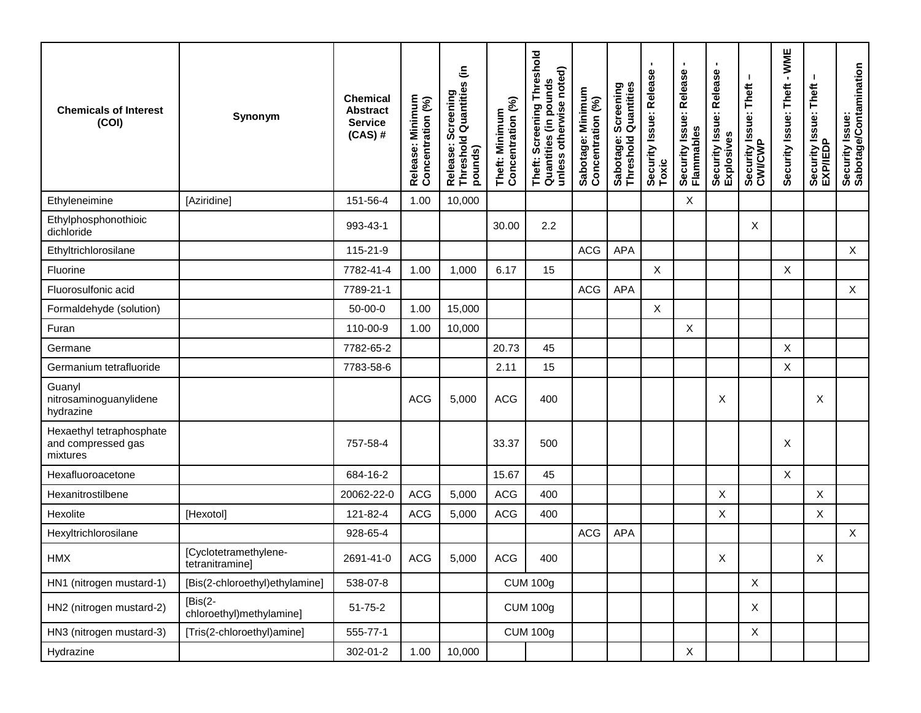| <b>Chemicals of Interest</b><br>(COI)                      | Synonym                                  | <b>Chemical</b><br><b>Abstract</b><br><b>Service</b><br>$(CAS)$ # | Release: Minimum<br>Concentration (%) | Release: Screening<br>Threshold Quantities (in<br>pounds) | Concentration (%)<br>Theft: Minimum | Threshold<br>unless otherwise noted)<br>Theft: Screening Thre<br>Quantities (in pounds | Sabotage: Minimum<br>Concentration (%) | Sabotage: Screening<br>Threshold Quantities | ٠<br>Security Issue: Release<br>Toxic | ٠<br>Security Issue: Release<br>Flammables | ٠<br>Security Issue: Release<br>Explosives | Security Issue: Theft<br>CWI/CWP | $-WME$<br>Security Issue: Theft | Security Issue: Theft<br>EXP/IEDP | Security Issue:<br>Sabotage/Contamination |
|------------------------------------------------------------|------------------------------------------|-------------------------------------------------------------------|---------------------------------------|-----------------------------------------------------------|-------------------------------------|----------------------------------------------------------------------------------------|----------------------------------------|---------------------------------------------|---------------------------------------|--------------------------------------------|--------------------------------------------|----------------------------------|---------------------------------|-----------------------------------|-------------------------------------------|
| Ethyleneimine                                              | [Aziridine]                              | 151-56-4                                                          | 1.00                                  | 10,000                                                    |                                     |                                                                                        |                                        |                                             |                                       | $\boldsymbol{\mathsf{X}}$                  |                                            |                                  |                                 |                                   |                                           |
| Ethylphosphonothioic<br>dichloride                         |                                          | 993-43-1                                                          |                                       |                                                           | 30.00                               | 2.2                                                                                    |                                        |                                             |                                       |                                            |                                            | Χ                                |                                 |                                   |                                           |
| Ethyltrichlorosilane                                       |                                          | 115-21-9                                                          |                                       |                                                           |                                     |                                                                                        | ACG                                    | <b>APA</b>                                  |                                       |                                            |                                            |                                  |                                 |                                   | $\sf X$                                   |
| Fluorine                                                   |                                          | 7782-41-4                                                         | 1.00                                  | 1,000                                                     | 6.17                                | 15                                                                                     |                                        |                                             | $\times$                              |                                            |                                            |                                  | X                               |                                   |                                           |
| Fluorosulfonic acid                                        |                                          | 7789-21-1                                                         |                                       |                                                           |                                     |                                                                                        | ACG                                    | APA                                         |                                       |                                            |                                            |                                  |                                 |                                   | $\mathsf X$                               |
| Formaldehyde (solution)                                    |                                          | 50-00-0                                                           | 1.00                                  | 15,000                                                    |                                     |                                                                                        |                                        |                                             | $\boldsymbol{\mathsf{X}}$             |                                            |                                            |                                  |                                 |                                   |                                           |
| Furan                                                      |                                          | 110-00-9                                                          | 1.00                                  | 10,000                                                    |                                     |                                                                                        |                                        |                                             |                                       | X                                          |                                            |                                  |                                 |                                   |                                           |
| Germane                                                    |                                          | 7782-65-2                                                         |                                       |                                                           | 20.73                               | 45                                                                                     |                                        |                                             |                                       |                                            |                                            |                                  | $\sf X$                         |                                   |                                           |
| Germanium tetrafluoride                                    |                                          | 7783-58-6                                                         |                                       |                                                           | 2.11                                | 15                                                                                     |                                        |                                             |                                       |                                            |                                            |                                  | $\mathsf X$                     |                                   |                                           |
| Guanyl<br>nitrosaminoguanylidene<br>hydrazine              |                                          |                                                                   | <b>ACG</b>                            | 5,000                                                     | <b>ACG</b>                          | 400                                                                                    |                                        |                                             |                                       |                                            | X                                          |                                  |                                 | X                                 |                                           |
| Hexaethyl tetraphosphate<br>and compressed gas<br>mixtures |                                          | 757-58-4                                                          |                                       |                                                           | 33.37                               | 500                                                                                    |                                        |                                             |                                       |                                            |                                            |                                  | X                               |                                   |                                           |
| Hexafluoroacetone                                          |                                          | 684-16-2                                                          |                                       |                                                           | 15.67                               | 45                                                                                     |                                        |                                             |                                       |                                            |                                            |                                  | X                               |                                   |                                           |
| Hexanitrostilbene                                          |                                          | 20062-22-0                                                        | <b>ACG</b>                            | 5,000                                                     | <b>ACG</b>                          | 400                                                                                    |                                        |                                             |                                       |                                            | $\mathsf X$                                |                                  |                                 | X                                 |                                           |
| Hexolite                                                   | [Hexotol]                                | 121-82-4                                                          | ACG                                   | 5,000                                                     | <b>ACG</b>                          | 400                                                                                    |                                        |                                             |                                       |                                            | X                                          |                                  |                                 | X                                 |                                           |
| Hexyltrichlorosilane                                       |                                          | 928-65-4                                                          |                                       |                                                           |                                     |                                                                                        | <b>ACG</b>                             | <b>APA</b>                                  |                                       |                                            |                                            |                                  |                                 |                                   | X                                         |
| <b>HMX</b>                                                 | [Cyclotetramethylene-<br>tetranitramine] | 2691-41-0                                                         | ACG                                   | 5,000                                                     | <b>ACG</b>                          | 400                                                                                    |                                        |                                             |                                       |                                            | X                                          |                                  |                                 | X                                 |                                           |
| HN1 (nitrogen mustard-1)                                   | [Bis(2-chloroethyl)ethylamine]           | 538-07-8                                                          |                                       |                                                           |                                     | <b>CUM 100g</b>                                                                        |                                        |                                             |                                       |                                            |                                            | X                                |                                 |                                   |                                           |
| HN2 (nitrogen mustard-2)                                   | $[Bis(2-$<br>chloroethyl)methylamine]    | $51 - 75 - 2$                                                     |                                       |                                                           |                                     | <b>CUM 100g</b>                                                                        |                                        |                                             |                                       |                                            |                                            | X                                |                                 |                                   |                                           |
| HN3 (nitrogen mustard-3)                                   | [Tris(2-chloroethyl)amine]               | 555-77-1                                                          |                                       |                                                           |                                     | <b>CUM 100g</b>                                                                        |                                        |                                             |                                       |                                            |                                            | X                                |                                 |                                   |                                           |
| Hydrazine                                                  |                                          | 302-01-2                                                          | 1.00                                  | 10,000                                                    |                                     |                                                                                        |                                        |                                             |                                       | $\mathsf{X}$                               |                                            |                                  |                                 |                                   |                                           |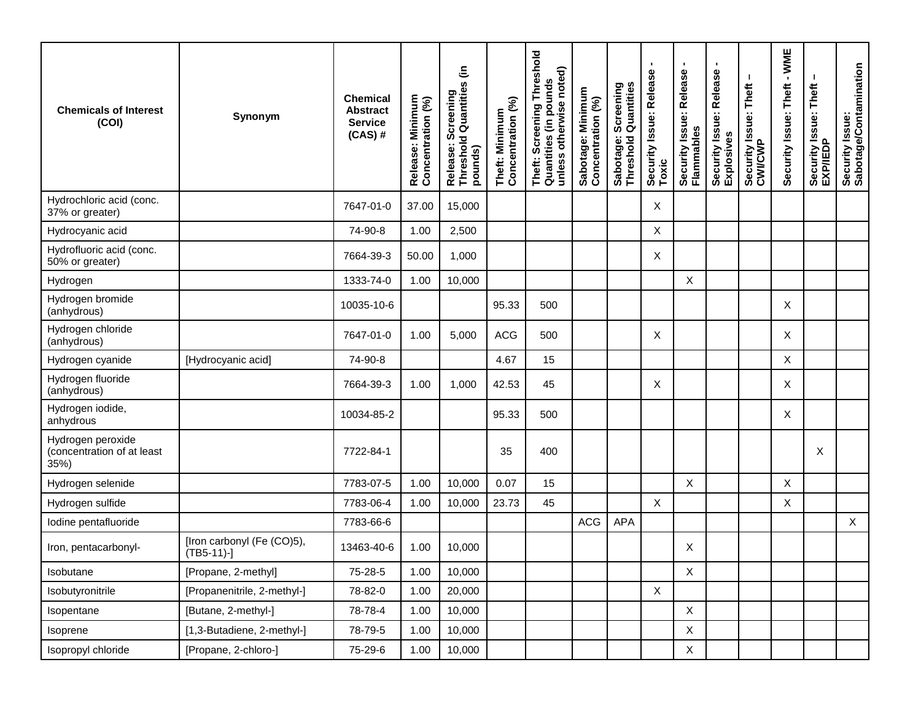| <b>Chemicals of Interest</b><br>(COI)                   | Synonym                                     | <b>Chemical</b><br><b>Abstract</b><br><b>Service</b><br>$(CAS)$ # | Release: Minimum<br>Concentration (%) | Release: Screening<br>Threshold Quantities (in<br>pounds) | Concentration (%)<br>Theft: Minimum | Theft: Screening Threshold<br>unless otherwise noted)<br>w<br>Quantities (in pound | Sabotage: Minimum<br>Concentration (%) | Screening<br>  Quantities<br>Sabotage: \$ | $\blacksquare$<br>Security Issue: Release<br>Toxic | $\blacksquare$<br>Security Issue: Release<br>Flammables | ٠<br>Security Issue: Release<br>Explosives | л.<br>Security Issue: Theft<br>CWI/CWP | $-WME$<br>Security Issue: Theft | Security Issue: Theft<br>EXP/IEDP | Security Issue:<br>Sabotage/Contamination |
|---------------------------------------------------------|---------------------------------------------|-------------------------------------------------------------------|---------------------------------------|-----------------------------------------------------------|-------------------------------------|------------------------------------------------------------------------------------|----------------------------------------|-------------------------------------------|----------------------------------------------------|---------------------------------------------------------|--------------------------------------------|----------------------------------------|---------------------------------|-----------------------------------|-------------------------------------------|
| Hydrochloric acid (conc.<br>37% or greater)             |                                             | 7647-01-0                                                         | 37.00                                 | 15,000                                                    |                                     |                                                                                    |                                        |                                           | Χ                                                  |                                                         |                                            |                                        |                                 |                                   |                                           |
| Hydrocyanic acid                                        |                                             | 74-90-8                                                           | 1.00                                  | 2,500                                                     |                                     |                                                                                    |                                        |                                           | $\boldsymbol{\mathsf{X}}$                          |                                                         |                                            |                                        |                                 |                                   |                                           |
| Hydrofluoric acid (conc.<br>50% or greater)             |                                             | 7664-39-3                                                         | 50.00                                 | 1,000                                                     |                                     |                                                                                    |                                        |                                           | X                                                  |                                                         |                                            |                                        |                                 |                                   |                                           |
| Hydrogen                                                |                                             | 1333-74-0                                                         | 1.00                                  | 10,000                                                    |                                     |                                                                                    |                                        |                                           |                                                    | X                                                       |                                            |                                        |                                 |                                   |                                           |
| Hydrogen bromide<br>(anhydrous)                         |                                             | 10035-10-6                                                        |                                       |                                                           | 95.33                               | 500                                                                                |                                        |                                           |                                                    |                                                         |                                            |                                        | X                               |                                   |                                           |
| Hydrogen chloride<br>(anhydrous)                        |                                             | 7647-01-0                                                         | 1.00                                  | 5,000                                                     | <b>ACG</b>                          | 500                                                                                |                                        |                                           | X                                                  |                                                         |                                            |                                        | X                               |                                   |                                           |
| Hydrogen cyanide                                        | [Hydrocyanic acid]                          | 74-90-8                                                           |                                       |                                                           | 4.67                                | 15                                                                                 |                                        |                                           |                                                    |                                                         |                                            |                                        | X                               |                                   |                                           |
| Hydrogen fluoride<br>(anhydrous)                        |                                             | 7664-39-3                                                         | 1.00                                  | 1,000                                                     | 42.53                               | 45                                                                                 |                                        |                                           | X                                                  |                                                         |                                            |                                        | X                               |                                   |                                           |
| Hydrogen iodide,<br>anhydrous                           |                                             | 10034-85-2                                                        |                                       |                                                           | 95.33                               | 500                                                                                |                                        |                                           |                                                    |                                                         |                                            |                                        | X                               |                                   |                                           |
| Hydrogen peroxide<br>(concentration of at least<br>35%) |                                             | 7722-84-1                                                         |                                       |                                                           | 35                                  | 400                                                                                |                                        |                                           |                                                    |                                                         |                                            |                                        |                                 | X                                 |                                           |
| Hydrogen selenide                                       |                                             | 7783-07-5                                                         | 1.00                                  | 10,000                                                    | 0.07                                | 15                                                                                 |                                        |                                           |                                                    | $\sf X$                                                 |                                            |                                        | X                               |                                   |                                           |
| Hydrogen sulfide                                        |                                             | 7783-06-4                                                         | 1.00                                  | 10,000                                                    | 23.73                               | 45                                                                                 |                                        |                                           | $\boldsymbol{\mathsf{X}}$                          |                                                         |                                            |                                        | X                               |                                   |                                           |
| lodine pentafluoride                                    |                                             | 7783-66-6                                                         |                                       |                                                           |                                     |                                                                                    | <b>ACG</b>                             | <b>APA</b>                                |                                                    |                                                         |                                            |                                        |                                 |                                   | $\mathsf{X}$                              |
| Iron, pentacarbonyl-                                    | [Iron carbonyl (Fe (CO)5),<br>$(TB5-11)-$ ] | 13463-40-6                                                        | 1.00                                  | 10,000                                                    |                                     |                                                                                    |                                        |                                           |                                                    | Χ                                                       |                                            |                                        |                                 |                                   |                                           |
| Isobutane                                               | [Propane, 2-methyl]                         | 75-28-5                                                           | 1.00                                  | 10,000                                                    |                                     |                                                                                    |                                        |                                           |                                                    | $\mathsf X$                                             |                                            |                                        |                                 |                                   |                                           |
| Isobutyronitrile                                        | [Propanenitrile, 2-methyl-]                 | 78-82-0                                                           | 1.00                                  | 20,000                                                    |                                     |                                                                                    |                                        |                                           | $\mathsf X$                                        |                                                         |                                            |                                        |                                 |                                   |                                           |
| Isopentane                                              | [Butane, 2-methyl-]                         | 78-78-4                                                           | 1.00                                  | 10,000                                                    |                                     |                                                                                    |                                        |                                           |                                                    | $\mathsf{X}$                                            |                                            |                                        |                                 |                                   |                                           |
| Isoprene                                                | [1,3-Butadiene, 2-methyl-]                  | 78-79-5                                                           | 1.00                                  | 10,000                                                    |                                     |                                                                                    |                                        |                                           |                                                    | $\mathsf X$                                             |                                            |                                        |                                 |                                   |                                           |
| Isopropyl chloride                                      | [Propane, 2-chloro-]                        | 75-29-6                                                           | 1.00                                  | 10,000                                                    |                                     |                                                                                    |                                        |                                           |                                                    | $\mathsf{X}$                                            |                                            |                                        |                                 |                                   |                                           |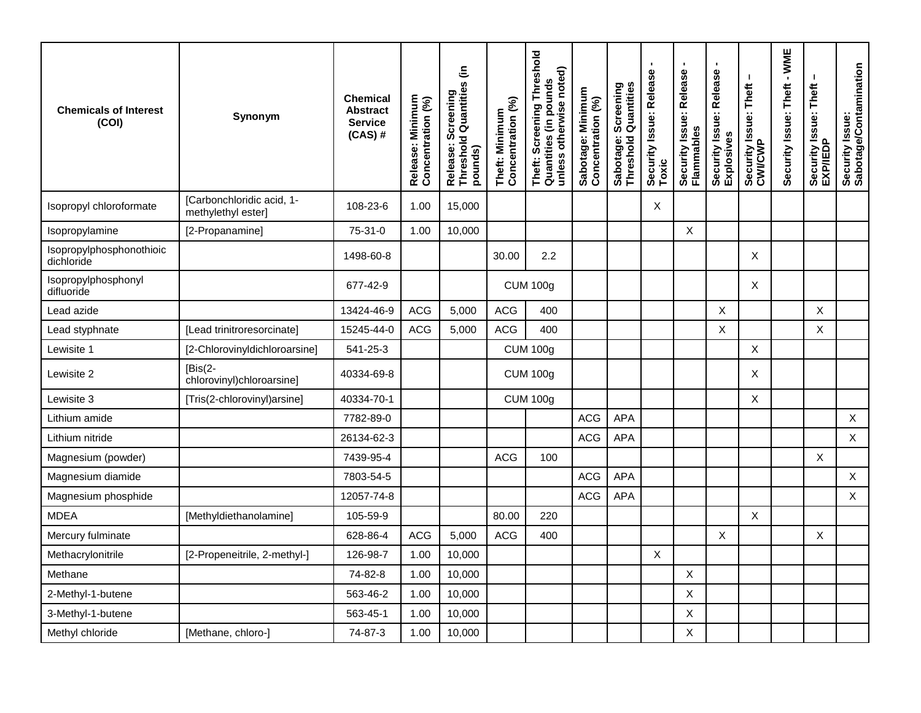| <b>Chemicals of Interest</b><br>(COI)  | Synonym                                         | <b>Chemical</b><br><b>Abstract</b><br><b>Service</b><br>$(CAS)$ # | Release: Minimum<br>Concentration (%) | Release: Screening<br>Threshold Quantities (in<br>pounds) | Concentration (%)<br>Theft: Minimum | Threshold<br>unless otherwise noted)<br>Theft: Screening Thre<br>Quantities (in pounds | Sabotage: Minimum<br>Concentration (%) | Sabotage: Screening<br>Threshold Quantities | Security Issue: Release<br>Toxic | $\blacksquare$<br>Security Issue: Release<br>Flammables | Security Issue: Release<br>Explosives | Security Issue: Theft<br>CWI/CWP | $-WME$<br>Security Issue: Theft | Security Issue: Theft<br>EXP/IEDP | Security Issue:<br>Sabotage/Contamination |
|----------------------------------------|-------------------------------------------------|-------------------------------------------------------------------|---------------------------------------|-----------------------------------------------------------|-------------------------------------|----------------------------------------------------------------------------------------|----------------------------------------|---------------------------------------------|----------------------------------|---------------------------------------------------------|---------------------------------------|----------------------------------|---------------------------------|-----------------------------------|-------------------------------------------|
| Isopropyl chloroformate                | [Carbonchloridic acid, 1-<br>methylethyl ester] | 108-23-6                                                          | 1.00                                  | 15,000                                                    |                                     |                                                                                        |                                        |                                             | X                                |                                                         |                                       |                                  |                                 |                                   |                                           |
| Isopropylamine                         | [2-Propanamine]                                 | $75-31-0$                                                         | 1.00                                  | 10,000                                                    |                                     |                                                                                        |                                        |                                             |                                  | $\boldsymbol{\mathsf{X}}$                               |                                       |                                  |                                 |                                   |                                           |
| Isopropylphosphonothioic<br>dichloride |                                                 | 1498-60-8                                                         |                                       |                                                           | 30.00                               | 2.2                                                                                    |                                        |                                             |                                  |                                                         |                                       | X                                |                                 |                                   |                                           |
| Isopropylphosphonyl<br>difluoride      |                                                 | 677-42-9                                                          |                                       |                                                           |                                     | <b>CUM 100g</b>                                                                        |                                        |                                             |                                  |                                                         |                                       | X                                |                                 |                                   |                                           |
| Lead azide                             |                                                 | 13424-46-9                                                        | <b>ACG</b>                            | 5,000                                                     | <b>ACG</b>                          | 400                                                                                    |                                        |                                             |                                  |                                                         | X                                     |                                  |                                 | X                                 |                                           |
| Lead styphnate                         | [Lead trinitroresorcinate]                      | 15245-44-0                                                        | <b>ACG</b>                            | 5,000                                                     | <b>ACG</b>                          | 400                                                                                    |                                        |                                             |                                  |                                                         | X                                     |                                  |                                 | X                                 |                                           |
| Lewisite 1                             | [2-Chlorovinyldichloroarsine]                   | 541-25-3                                                          |                                       |                                                           |                                     | <b>CUM 100g</b>                                                                        |                                        |                                             |                                  |                                                         |                                       | X                                |                                 |                                   |                                           |
| Lewisite 2                             | $[Bis(2-$<br>chlorovinyl)chloroarsine]          | 40334-69-8                                                        |                                       |                                                           |                                     | <b>CUM 100g</b>                                                                        |                                        |                                             |                                  |                                                         |                                       | X                                |                                 |                                   |                                           |
| Lewisite 3                             | [Tris(2-chlorovinyl)arsine]                     | 40334-70-1                                                        |                                       |                                                           |                                     | <b>CUM 100g</b>                                                                        |                                        |                                             |                                  |                                                         |                                       | X                                |                                 |                                   |                                           |
| Lithium amide                          |                                                 | 7782-89-0                                                         |                                       |                                                           |                                     |                                                                                        | <b>ACG</b>                             | <b>APA</b>                                  |                                  |                                                         |                                       |                                  |                                 |                                   | $\mathsf{X}$                              |
| Lithium nitride                        |                                                 | 26134-62-3                                                        |                                       |                                                           |                                     |                                                                                        | <b>ACG</b>                             | <b>APA</b>                                  |                                  |                                                         |                                       |                                  |                                 |                                   | $\mathsf X$                               |
| Magnesium (powder)                     |                                                 | 7439-95-4                                                         |                                       |                                                           | <b>ACG</b>                          | 100                                                                                    |                                        |                                             |                                  |                                                         |                                       |                                  |                                 | X                                 |                                           |
| Magnesium diamide                      |                                                 | 7803-54-5                                                         |                                       |                                                           |                                     |                                                                                        | <b>ACG</b>                             | <b>APA</b>                                  |                                  |                                                         |                                       |                                  |                                 |                                   | $\mathsf X$                               |
| Magnesium phosphide                    |                                                 | 12057-74-8                                                        |                                       |                                                           |                                     |                                                                                        | <b>ACG</b>                             | APA                                         |                                  |                                                         |                                       |                                  |                                 |                                   | $\mathsf{X}$                              |
| <b>MDEA</b>                            | [Methyldiethanolamine]                          | 105-59-9                                                          |                                       |                                                           | 80.00                               | 220                                                                                    |                                        |                                             |                                  |                                                         |                                       | X                                |                                 |                                   |                                           |
| Mercury fulminate                      |                                                 | 628-86-4                                                          | <b>ACG</b>                            | 5,000                                                     | <b>ACG</b>                          | 400                                                                                    |                                        |                                             |                                  |                                                         | X                                     |                                  |                                 | X                                 |                                           |
| Methacrylonitrile                      | [2-Propeneitrile, 2-methyl-]                    | 126-98-7                                                          | 1.00                                  | 10,000                                                    |                                     |                                                                                        |                                        |                                             | X                                |                                                         |                                       |                                  |                                 |                                   |                                           |
| Methane                                |                                                 | 74-82-8                                                           | 1.00                                  | 10,000                                                    |                                     |                                                                                        |                                        |                                             |                                  | $\boldsymbol{\mathsf{X}}$                               |                                       |                                  |                                 |                                   |                                           |
| 2-Methyl-1-butene                      |                                                 | 563-46-2                                                          | 1.00                                  | 10,000                                                    |                                     |                                                                                        |                                        |                                             |                                  | X                                                       |                                       |                                  |                                 |                                   |                                           |
| 3-Methyl-1-butene                      |                                                 | 563-45-1                                                          | 1.00                                  | 10,000                                                    |                                     |                                                                                        |                                        |                                             |                                  | X                                                       |                                       |                                  |                                 |                                   |                                           |
| Methyl chloride                        | [Methane, chloro-]                              | 74-87-3                                                           | 1.00                                  | 10,000                                                    |                                     |                                                                                        |                                        |                                             |                                  | $\boldsymbol{\mathsf{X}}$                               |                                       |                                  |                                 |                                   |                                           |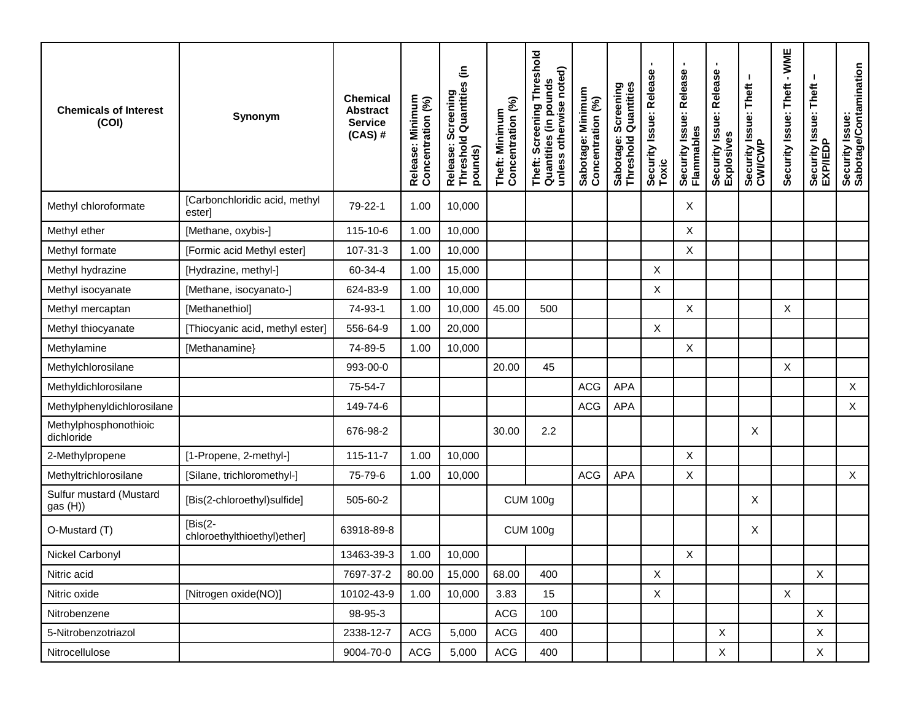| <b>Chemicals of Interest</b><br>(COI) | Synonym                                  | <b>Chemical</b><br>Abstract<br><b>Service</b><br>$(CAS)$ # | Release: Minimum<br>Concentration (%) | Release: Screening<br>Threshold Quantities (in<br>pounds) | Theft: Minimum<br>Concentration (%) | Threshold<br>unless otherwise noted)<br>Theft: Screening Thre<br>Quantities (in pounds | Sabotage: Minimum<br>Concentration (%) | Screening<br>Quantitie<br>Sabotage:<br>Threshold ( | $\blacksquare$<br>Security Issue: Release<br>Toxic | $\blacksquare$<br>Security Issue: Release<br>Flammables | ٠<br>Security Issue: Release<br>Explosives | Security Issue: Theft<br>CWI/CWP | Security Issue: Theft - WME | Security Issue: Theft<br>EXP/IEDP | Security Issue:<br>Sabotage/Contamination |
|---------------------------------------|------------------------------------------|------------------------------------------------------------|---------------------------------------|-----------------------------------------------------------|-------------------------------------|----------------------------------------------------------------------------------------|----------------------------------------|----------------------------------------------------|----------------------------------------------------|---------------------------------------------------------|--------------------------------------------|----------------------------------|-----------------------------|-----------------------------------|-------------------------------------------|
| Methyl chloroformate                  | [Carbonchloridic acid, methyl<br>ester]  | 79-22-1                                                    | 1.00                                  | 10,000                                                    |                                     |                                                                                        |                                        |                                                    |                                                    | Χ                                                       |                                            |                                  |                             |                                   |                                           |
| Methyl ether                          | [Methane, oxybis-]                       | 115-10-6                                                   | 1.00                                  | 10,000                                                    |                                     |                                                                                        |                                        |                                                    |                                                    | X                                                       |                                            |                                  |                             |                                   |                                           |
| Methyl formate                        | [Formic acid Methyl ester]               | 107-31-3                                                   | 1.00                                  | 10,000                                                    |                                     |                                                                                        |                                        |                                                    |                                                    | X                                                       |                                            |                                  |                             |                                   |                                           |
| Methyl hydrazine                      | [Hydrazine, methyl-]                     | 60-34-4                                                    | 1.00                                  | 15,000                                                    |                                     |                                                                                        |                                        |                                                    | Χ                                                  |                                                         |                                            |                                  |                             |                                   |                                           |
| Methyl isocyanate                     | [Methane, isocyanato-]                   | 624-83-9                                                   | 1.00                                  | 10,000                                                    |                                     |                                                                                        |                                        |                                                    | X                                                  |                                                         |                                            |                                  |                             |                                   |                                           |
| Methyl mercaptan                      | [Methanethiol]                           | 74-93-1                                                    | 1.00                                  | 10,000                                                    | 45.00                               | 500                                                                                    |                                        |                                                    |                                                    | $\boldsymbol{X}$                                        |                                            |                                  | X                           |                                   |                                           |
| Methyl thiocyanate                    | [Thiocyanic acid, methyl ester]          | 556-64-9                                                   | 1.00                                  | 20,000                                                    |                                     |                                                                                        |                                        |                                                    | X                                                  |                                                         |                                            |                                  |                             |                                   |                                           |
| Methylamine                           | [Methanamine]                            | 74-89-5                                                    | 1.00                                  | 10,000                                                    |                                     |                                                                                        |                                        |                                                    |                                                    | X                                                       |                                            |                                  |                             |                                   |                                           |
| Methylchlorosilane                    |                                          | 993-00-0                                                   |                                       |                                                           | 20.00                               | 45                                                                                     |                                        |                                                    |                                                    |                                                         |                                            |                                  | X                           |                                   |                                           |
| Methyldichlorosilane                  |                                          | 75-54-7                                                    |                                       |                                                           |                                     |                                                                                        | <b>ACG</b>                             | <b>APA</b>                                         |                                                    |                                                         |                                            |                                  |                             |                                   | $\mathsf{X}$                              |
| Methylphenyldichlorosilane            |                                          | 149-74-6                                                   |                                       |                                                           |                                     |                                                                                        | <b>ACG</b>                             | <b>APA</b>                                         |                                                    |                                                         |                                            |                                  |                             |                                   | X                                         |
| Methylphosphonothioic<br>dichloride   |                                          | 676-98-2                                                   |                                       |                                                           | 30.00                               | 2.2                                                                                    |                                        |                                                    |                                                    |                                                         |                                            | X                                |                             |                                   |                                           |
| 2-Methylpropene                       | [1-Propene, 2-methyl-]                   | $115 - 11 - 7$                                             | 1.00                                  | 10,000                                                    |                                     |                                                                                        |                                        |                                                    |                                                    | X                                                       |                                            |                                  |                             |                                   |                                           |
| Methyltrichlorosilane                 | [Silane, trichloromethyl-]               | 75-79-6                                                    | 1.00                                  | 10,000                                                    |                                     |                                                                                        | <b>ACG</b>                             | <b>APA</b>                                         |                                                    | X                                                       |                                            |                                  |                             |                                   | $\mathsf{X}$                              |
| Sulfur mustard (Mustard<br>gas (H))   | [Bis(2-chloroethyl)sulfide]              | 505-60-2                                                   |                                       |                                                           |                                     | <b>CUM 100g</b>                                                                        |                                        |                                                    |                                                    |                                                         |                                            | Χ                                |                             |                                   |                                           |
| O-Mustard (T)                         | $[Bis(2-$<br>chloroethylthioethyl)ether] | 63918-89-8                                                 |                                       |                                                           |                                     | <b>CUM 100g</b>                                                                        |                                        |                                                    |                                                    |                                                         |                                            | X                                |                             |                                   |                                           |
| Nickel Carbonyl                       |                                          | 13463-39-3                                                 | 1.00                                  | 10,000                                                    |                                     |                                                                                        |                                        |                                                    |                                                    | X                                                       |                                            |                                  |                             |                                   |                                           |
| Nitric acid                           |                                          | 7697-37-2                                                  | 80.00                                 | 15,000                                                    | 68.00                               | 400                                                                                    |                                        |                                                    | X                                                  |                                                         |                                            |                                  |                             | X                                 |                                           |
| Nitric oxide                          | [Nitrogen oxide(NO)]                     | 10102-43-9                                                 | 1.00                                  | 10,000                                                    | 3.83                                | 15                                                                                     |                                        |                                                    | X                                                  |                                                         |                                            |                                  | X                           |                                   |                                           |
| Nitrobenzene                          |                                          | 98-95-3                                                    |                                       |                                                           | <b>ACG</b>                          | 100                                                                                    |                                        |                                                    |                                                    |                                                         |                                            |                                  |                             | X                                 |                                           |
| 5-Nitrobenzotriazol                   |                                          | 2338-12-7                                                  | <b>ACG</b>                            | 5,000                                                     | <b>ACG</b>                          | 400                                                                                    |                                        |                                                    |                                                    |                                                         | $\mathsf X$                                |                                  |                             | X                                 |                                           |
| Nitrocellulose                        |                                          | 9004-70-0                                                  | ACG                                   | 5,000                                                     | ACG                                 | 400                                                                                    |                                        |                                                    |                                                    |                                                         | $\mathsf X$                                |                                  |                             | X                                 |                                           |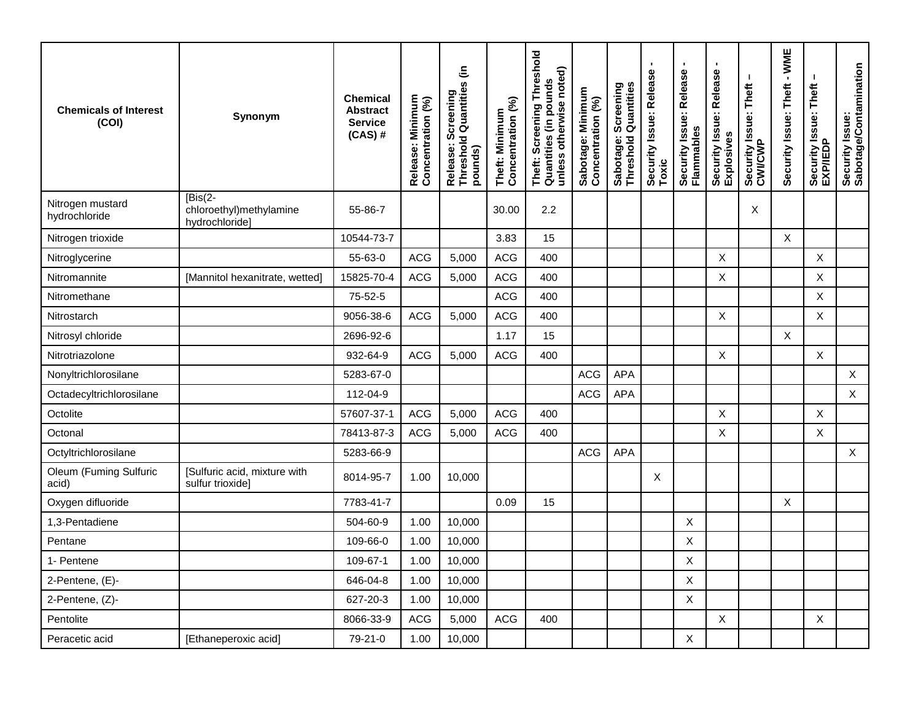| <b>Chemicals of Interest</b><br>(COI) | Synonym                                                | <b>Chemical</b><br><b>Abstract</b><br><b>Service</b><br>$(CAS)$ # | Release: Minimum<br>Concentration (%) | Release: Screening<br>Threshold Quantities (in<br>pounds) | Theft: Minimum<br>Concentration (%) | Theft: Screening Threshold<br>Quantities (in pounds<br>unless otherwise noted) | Sabotage: Minimum<br>Concentration (%) | Sabotage: Screening<br>Threshold Quantities | Security Issue: Release<br>Toxic | $\blacksquare$<br>Security Issue: Release<br>Flammables | Security Issue: Release<br>Explosives | Τ.<br>Security Issue: Theft<br>CWI/CWP | $-WME$<br>Security Issue: Theft | Security Issue: Theft<br>EXP/IEDP | Security Issue:<br>Sabotage/Contamination |
|---------------------------------------|--------------------------------------------------------|-------------------------------------------------------------------|---------------------------------------|-----------------------------------------------------------|-------------------------------------|--------------------------------------------------------------------------------|----------------------------------------|---------------------------------------------|----------------------------------|---------------------------------------------------------|---------------------------------------|----------------------------------------|---------------------------------|-----------------------------------|-------------------------------------------|
| Nitrogen mustard<br>hydrochloride     | $[Bis(2-$<br>chloroethyl)methylamine<br>hydrochloride] | 55-86-7                                                           |                                       |                                                           | 30.00                               | 2.2                                                                            |                                        |                                             |                                  |                                                         |                                       | X                                      |                                 |                                   |                                           |
| Nitrogen trioxide                     |                                                        | 10544-73-7                                                        |                                       |                                                           | 3.83                                | 15                                                                             |                                        |                                             |                                  |                                                         |                                       |                                        | $\pmb{\times}$                  |                                   |                                           |
| Nitroglycerine                        |                                                        | 55-63-0                                                           | <b>ACG</b>                            | 5,000                                                     | <b>ACG</b>                          | 400                                                                            |                                        |                                             |                                  |                                                         | X                                     |                                        |                                 | X                                 |                                           |
| Nitromannite                          | [Mannitol hexanitrate, wetted]                         | 15825-70-4                                                        | <b>ACG</b>                            | 5,000                                                     | <b>ACG</b>                          | 400                                                                            |                                        |                                             |                                  |                                                         | $\boldsymbol{\mathsf{X}}$             |                                        |                                 | X                                 |                                           |
| Nitromethane                          |                                                        | 75-52-5                                                           |                                       |                                                           | <b>ACG</b>                          | 400                                                                            |                                        |                                             |                                  |                                                         |                                       |                                        |                                 | $\boldsymbol{\mathsf{X}}$         |                                           |
| Nitrostarch                           |                                                        | 9056-38-6                                                         | <b>ACG</b>                            | 5,000                                                     | <b>ACG</b>                          | 400                                                                            |                                        |                                             |                                  |                                                         | $\pmb{\times}$                        |                                        |                                 | X                                 |                                           |
| Nitrosyl chloride                     |                                                        | 2696-92-6                                                         |                                       |                                                           | 1.17                                | 15                                                                             |                                        |                                             |                                  |                                                         |                                       |                                        | X                               |                                   |                                           |
| Nitrotriazolone                       |                                                        | 932-64-9                                                          | <b>ACG</b>                            | 5,000                                                     | <b>ACG</b>                          | 400                                                                            |                                        |                                             |                                  |                                                         | $\mathsf{X}$                          |                                        |                                 | X                                 |                                           |
| Nonyltrichlorosilane                  |                                                        | 5283-67-0                                                         |                                       |                                                           |                                     |                                                                                | <b>ACG</b>                             | APA                                         |                                  |                                                         |                                       |                                        |                                 |                                   | $\mathsf{X}$                              |
| Octadecyltrichlorosilane              |                                                        | 112-04-9                                                          |                                       |                                                           |                                     |                                                                                | <b>ACG</b>                             | APA                                         |                                  |                                                         |                                       |                                        |                                 |                                   | $\mathsf{X}$                              |
| Octolite                              |                                                        | 57607-37-1                                                        | <b>ACG</b>                            | 5,000                                                     | <b>ACG</b>                          | 400                                                                            |                                        |                                             |                                  |                                                         | $\boldsymbol{\mathsf{X}}$             |                                        |                                 | $\mathsf X$                       |                                           |
| Octonal                               |                                                        | 78413-87-3                                                        | <b>ACG</b>                            | 5,000                                                     | <b>ACG</b>                          | 400                                                                            |                                        |                                             |                                  |                                                         | X                                     |                                        |                                 | X                                 |                                           |
| Octyltrichlorosilane                  |                                                        | 5283-66-9                                                         |                                       |                                                           |                                     |                                                                                | <b>ACG</b>                             | APA                                         |                                  |                                                         |                                       |                                        |                                 |                                   | $\mathsf X$                               |
| Oleum (Fuming Sulfuric<br>acid)       | [Sulfuric acid, mixture with<br>sulfur trioxide]       | 8014-95-7                                                         | 1.00                                  | 10,000                                                    |                                     |                                                                                |                                        |                                             | X                                |                                                         |                                       |                                        |                                 |                                   |                                           |
| Oxygen difluoride                     |                                                        | 7783-41-7                                                         |                                       |                                                           | 0.09                                | 15                                                                             |                                        |                                             |                                  |                                                         |                                       |                                        | X                               |                                   |                                           |
| 1,3-Pentadiene                        |                                                        | 504-60-9                                                          | 1.00                                  | 10,000                                                    |                                     |                                                                                |                                        |                                             |                                  | $\boldsymbol{\mathsf{X}}$                               |                                       |                                        |                                 |                                   |                                           |
| Pentane                               |                                                        | 109-66-0                                                          | 1.00                                  | 10,000                                                    |                                     |                                                                                |                                        |                                             |                                  | $\times$                                                |                                       |                                        |                                 |                                   |                                           |
| 1- Pentene                            |                                                        | 109-67-1                                                          | 1.00                                  | 10,000                                                    |                                     |                                                                                |                                        |                                             |                                  | $\sf X$                                                 |                                       |                                        |                                 |                                   |                                           |
| 2-Pentene, (E)-                       |                                                        | 646-04-8                                                          | 1.00                                  | 10,000                                                    |                                     |                                                                                |                                        |                                             |                                  | X                                                       |                                       |                                        |                                 |                                   |                                           |
| 2-Pentene, (Z)-                       |                                                        | 627-20-3                                                          | 1.00                                  | 10,000                                                    |                                     |                                                                                |                                        |                                             |                                  | $\boldsymbol{\mathsf{X}}$                               |                                       |                                        |                                 |                                   |                                           |
| Pentolite                             |                                                        | 8066-33-9                                                         | <b>ACG</b>                            | 5,000                                                     | <b>ACG</b>                          | 400                                                                            |                                        |                                             |                                  |                                                         | $\times$                              |                                        |                                 | X                                 |                                           |
| Peracetic acid                        | [Ethaneperoxic acid]                                   | 79-21-0                                                           | 1.00                                  | 10,000                                                    |                                     |                                                                                |                                        |                                             |                                  | X                                                       |                                       |                                        |                                 |                                   |                                           |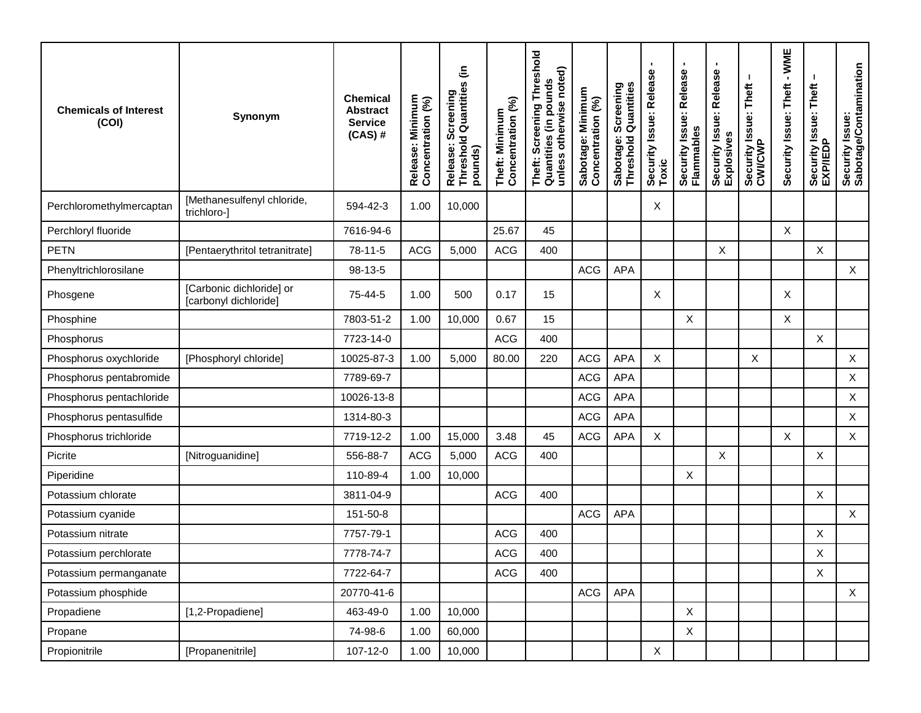| <b>Chemicals of Interest</b><br>(COI) | Synonym                                           | <b>Chemical</b><br><b>Abstract</b><br><b>Service</b><br>$(CAS)$ # | Release: Minimum<br>Concentration (%) | Release: Screening<br>Threshold Quantities (in<br>pounds) | Concentration (%)<br>Theft: Minimum | Threshold<br>unless otherwise noted)<br>Theft: Screening Thre<br>Quantities (in pounds | Sabotage: Minimum<br>Concentration (%) | Sabotage: Screening<br>Threshold Quantities | ٠<br>Security Issue: Release<br>Toxic | $\blacksquare$<br>Security Issue: Release<br>Flammables | ٠<br>Security Issue: Release<br>Explosives | Security Issue: Theft<br>CWI/CWP | $-WME$<br>Security Issue: Theft | Security Issue: Theft<br>EXP/IEDP | Security Issue:<br>Sabotage/Contamination |
|---------------------------------------|---------------------------------------------------|-------------------------------------------------------------------|---------------------------------------|-----------------------------------------------------------|-------------------------------------|----------------------------------------------------------------------------------------|----------------------------------------|---------------------------------------------|---------------------------------------|---------------------------------------------------------|--------------------------------------------|----------------------------------|---------------------------------|-----------------------------------|-------------------------------------------|
| Perchloromethylmercaptan              | [Methanesulfenyl chloride,<br>trichloro-]         | 594-42-3                                                          | 1.00                                  | 10,000                                                    |                                     |                                                                                        |                                        |                                             | X                                     |                                                         |                                            |                                  |                                 |                                   |                                           |
| Perchloryl fluoride                   |                                                   | 7616-94-6                                                         |                                       |                                                           | 25.67                               | 45                                                                                     |                                        |                                             |                                       |                                                         |                                            |                                  | $\pmb{\times}$                  |                                   |                                           |
| <b>PETN</b>                           | [Pentaerythritol tetranitrate]                    | 78-11-5                                                           | <b>ACG</b>                            | 5,000                                                     | <b>ACG</b>                          | 400                                                                                    |                                        |                                             |                                       |                                                         | X                                          |                                  |                                 | X                                 |                                           |
| Phenyltrichlorosilane                 |                                                   | 98-13-5                                                           |                                       |                                                           |                                     |                                                                                        | <b>ACG</b>                             | <b>APA</b>                                  |                                       |                                                         |                                            |                                  |                                 |                                   | $\mathsf{X}$                              |
| Phosgene                              | [Carbonic dichloride] or<br>[carbonyl dichloride] | 75-44-5                                                           | 1.00                                  | 500                                                       | 0.17                                | 15                                                                                     |                                        |                                             | X                                     |                                                         |                                            |                                  | X                               |                                   |                                           |
| Phosphine                             |                                                   | 7803-51-2                                                         | 1.00                                  | 10,000                                                    | 0.67                                | 15                                                                                     |                                        |                                             |                                       | X                                                       |                                            |                                  | X                               |                                   |                                           |
| Phosphorus                            |                                                   | 7723-14-0                                                         |                                       |                                                           | <b>ACG</b>                          | 400                                                                                    |                                        |                                             |                                       |                                                         |                                            |                                  |                                 | X                                 |                                           |
| Phosphorus oxychloride                | [Phosphoryl chloride]                             | 10025-87-3                                                        | 1.00                                  | 5,000                                                     | 80.00                               | 220                                                                                    | <b>ACG</b>                             | <b>APA</b>                                  | X                                     |                                                         |                                            | X                                |                                 |                                   | $\mathsf X$                               |
| Phosphorus pentabromide               |                                                   | 7789-69-7                                                         |                                       |                                                           |                                     |                                                                                        | <b>ACG</b>                             | APA                                         |                                       |                                                         |                                            |                                  |                                 |                                   | $\mathsf{X}$                              |
| Phosphorus pentachloride              |                                                   | 10026-13-8                                                        |                                       |                                                           |                                     |                                                                                        | <b>ACG</b>                             | <b>APA</b>                                  |                                       |                                                         |                                            |                                  |                                 |                                   | X                                         |
| Phosphorus pentasulfide               |                                                   | 1314-80-3                                                         |                                       |                                                           |                                     |                                                                                        | <b>ACG</b>                             | APA                                         |                                       |                                                         |                                            |                                  |                                 |                                   | $\mathsf{X}$                              |
| Phosphorus trichloride                |                                                   | 7719-12-2                                                         | 1.00                                  | 15,000                                                    | 3.48                                | 45                                                                                     | <b>ACG</b>                             | <b>APA</b>                                  | X                                     |                                                         |                                            |                                  | X                               |                                   | $\mathsf{X}$                              |
| Picrite                               | [Nitroguanidine]                                  | 556-88-7                                                          | <b>ACG</b>                            | 5,000                                                     | <b>ACG</b>                          | 400                                                                                    |                                        |                                             |                                       |                                                         | X                                          |                                  |                                 | X                                 |                                           |
| Piperidine                            |                                                   | 110-89-4                                                          | 1.00                                  | 10,000                                                    |                                     |                                                                                        |                                        |                                             |                                       | X                                                       |                                            |                                  |                                 |                                   |                                           |
| Potassium chlorate                    |                                                   | 3811-04-9                                                         |                                       |                                                           | <b>ACG</b>                          | 400                                                                                    |                                        |                                             |                                       |                                                         |                                            |                                  |                                 | X                                 |                                           |
| Potassium cyanide                     |                                                   | 151-50-8                                                          |                                       |                                                           |                                     |                                                                                        | ACG                                    | <b>APA</b>                                  |                                       |                                                         |                                            |                                  |                                 |                                   | $\sf X$                                   |
| Potassium nitrate                     |                                                   | 7757-79-1                                                         |                                       |                                                           | <b>ACG</b>                          | 400                                                                                    |                                        |                                             |                                       |                                                         |                                            |                                  |                                 | Χ                                 |                                           |
| Potassium perchlorate                 |                                                   | 7778-74-7                                                         |                                       |                                                           | <b>ACG</b>                          | 400                                                                                    |                                        |                                             |                                       |                                                         |                                            |                                  |                                 | X                                 |                                           |
| Potassium permanganate                |                                                   | 7722-64-7                                                         |                                       |                                                           | <b>ACG</b>                          | 400                                                                                    |                                        |                                             |                                       |                                                         |                                            |                                  |                                 | $\boldsymbol{\mathsf{X}}$         |                                           |
| Potassium phosphide                   |                                                   | 20770-41-6                                                        |                                       |                                                           |                                     |                                                                                        | ACG                                    | <b>APA</b>                                  |                                       |                                                         |                                            |                                  |                                 |                                   | $\mathsf{X}$                              |
| Propadiene                            | [1,2-Propadiene]                                  | 463-49-0                                                          | 1.00                                  | 10,000                                                    |                                     |                                                                                        |                                        |                                             |                                       | $\mathsf X$                                             |                                            |                                  |                                 |                                   |                                           |
| Propane                               |                                                   | 74-98-6                                                           | 1.00                                  | 60,000                                                    |                                     |                                                                                        |                                        |                                             |                                       | $\boldsymbol{X}$                                        |                                            |                                  |                                 |                                   |                                           |
| Propionitrile                         | [Propanenitrile]                                  | 107-12-0                                                          | 1.00                                  | 10,000                                                    |                                     |                                                                                        |                                        |                                             | X                                     |                                                         |                                            |                                  |                                 |                                   |                                           |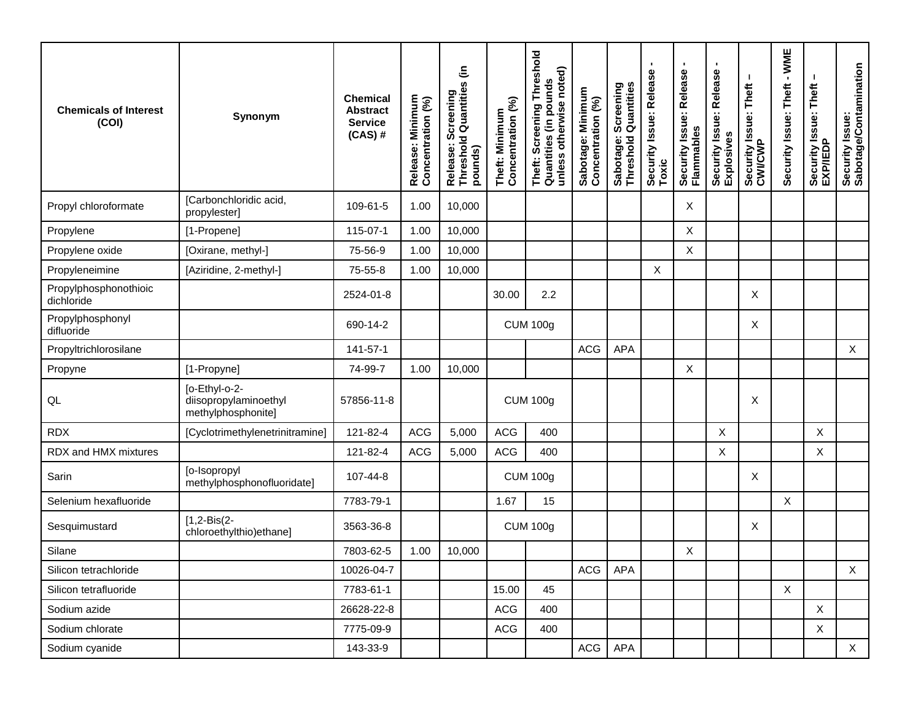| <b>Chemicals of Interest</b><br>(COI) | Synonym                                                      | <b>Chemical</b><br><b>Abstract</b><br><b>Service</b><br>$(CAS)$ # | Release: Minimum<br>Concentration (%) | Release: Screening<br>Threshold Quantities (in<br>pounds) | Concentration (%)<br>Theft: Minimum | Threshold<br>unless otherwise noted)<br>Theft: Screening Thre<br>Quantities (in pounds | Sabotage: Minimum<br>Concentration (%) | Sabotage: Screening<br>Threshold Quantities | <b>I</b><br>Security Issue: Release<br>Toxic | $\blacksquare$<br>Security Issue: Release<br>Flammables | ٠<br>Security Issue: Release<br>Explosives | Security Issue: Theft<br>CWI/CWP | $-WME$<br>Security Issue: Theft | Security Issue: Theft<br>EXP/IEDP | Security Issue:<br>Sabotage/Contamination |
|---------------------------------------|--------------------------------------------------------------|-------------------------------------------------------------------|---------------------------------------|-----------------------------------------------------------|-------------------------------------|----------------------------------------------------------------------------------------|----------------------------------------|---------------------------------------------|----------------------------------------------|---------------------------------------------------------|--------------------------------------------|----------------------------------|---------------------------------|-----------------------------------|-------------------------------------------|
| Propyl chloroformate                  | [Carbonchloridic acid,<br>propylester]                       | 109-61-5                                                          | 1.00                                  | 10,000                                                    |                                     |                                                                                        |                                        |                                             |                                              | Χ                                                       |                                            |                                  |                                 |                                   |                                           |
| Propylene                             | [1-Propene]                                                  | 115-07-1                                                          | 1.00                                  | 10,000                                                    |                                     |                                                                                        |                                        |                                             |                                              | $\times$                                                |                                            |                                  |                                 |                                   |                                           |
| Propylene oxide                       | [Oxirane, methyl-]                                           | 75-56-9                                                           | 1.00                                  | 10,000                                                    |                                     |                                                                                        |                                        |                                             |                                              | $\boldsymbol{\mathsf{X}}$                               |                                            |                                  |                                 |                                   |                                           |
| Propyleneimine                        | [Aziridine, 2-methyl-]                                       | 75-55-8                                                           | 1.00                                  | 10,000                                                    |                                     |                                                                                        |                                        |                                             | X                                            |                                                         |                                            |                                  |                                 |                                   |                                           |
| Propylphosphonothioic<br>dichloride   |                                                              | 2524-01-8                                                         |                                       |                                                           | 30.00                               | 2.2                                                                                    |                                        |                                             |                                              |                                                         |                                            | X                                |                                 |                                   |                                           |
| Propylphosphonyl<br>difluoride        |                                                              | 690-14-2                                                          |                                       |                                                           |                                     | <b>CUM 100g</b>                                                                        |                                        |                                             |                                              |                                                         |                                            | Χ                                |                                 |                                   |                                           |
| Propyltrichlorosilane                 |                                                              | 141-57-1                                                          |                                       |                                                           |                                     |                                                                                        | <b>ACG</b>                             | <b>APA</b>                                  |                                              |                                                         |                                            |                                  |                                 |                                   | $\sf X$                                   |
| Propyne                               | [1-Propyne]                                                  | 74-99-7                                                           | 1.00                                  | 10,000                                                    |                                     |                                                                                        |                                        |                                             |                                              | $\boldsymbol{\mathsf{X}}$                               |                                            |                                  |                                 |                                   |                                           |
| QL                                    | [o-Ethyl-o-2-<br>diisopropylaminoethyl<br>methylphosphonite] | 57856-11-8                                                        |                                       |                                                           |                                     | <b>CUM 100g</b>                                                                        |                                        |                                             |                                              |                                                         |                                            | Χ                                |                                 |                                   |                                           |
| <b>RDX</b>                            | [Cyclotrimethylenetrinitramine]                              | 121-82-4                                                          | <b>ACG</b>                            | 5,000                                                     | <b>ACG</b>                          | 400                                                                                    |                                        |                                             |                                              |                                                         | X                                          |                                  |                                 | X                                 |                                           |
| RDX and HMX mixtures                  |                                                              | 121-82-4                                                          | <b>ACG</b>                            | 5,000                                                     | <b>ACG</b>                          | 400                                                                                    |                                        |                                             |                                              |                                                         | X                                          |                                  |                                 | X                                 |                                           |
| Sarin                                 | [o-Isopropyl<br>methylphosphonofluoridate]                   | 107-44-8                                                          |                                       |                                                           |                                     | <b>CUM 100g</b>                                                                        |                                        |                                             |                                              |                                                         |                                            | X                                |                                 |                                   |                                           |
| Selenium hexafluoride                 |                                                              | 7783-79-1                                                         |                                       |                                                           | 1.67                                | 15                                                                                     |                                        |                                             |                                              |                                                         |                                            |                                  | $\pmb{\times}$                  |                                   |                                           |
| Sesquimustard                         | $[1,2-Bis(2-$<br>chloroethylthio)ethane]                     | 3563-36-8                                                         |                                       |                                                           |                                     | <b>CUM 100g</b>                                                                        |                                        |                                             |                                              |                                                         |                                            | Χ                                |                                 |                                   |                                           |
| Silane                                |                                                              | 7803-62-5                                                         | 1.00                                  | 10,000                                                    |                                     |                                                                                        |                                        |                                             |                                              | X                                                       |                                            |                                  |                                 |                                   |                                           |
| Silicon tetrachloride                 |                                                              | 10026-04-7                                                        |                                       |                                                           |                                     |                                                                                        | ACG                                    | APA                                         |                                              |                                                         |                                            |                                  |                                 |                                   | $\times$                                  |
| Silicon tetrafluoride                 |                                                              | 7783-61-1                                                         |                                       |                                                           | 15.00                               | 45                                                                                     |                                        |                                             |                                              |                                                         |                                            |                                  | $\mathsf{X}$                    |                                   |                                           |
| Sodium azide                          |                                                              | 26628-22-8                                                        |                                       |                                                           | <b>ACG</b>                          | 400                                                                                    |                                        |                                             |                                              |                                                         |                                            |                                  |                                 | $\mathsf{X}$                      |                                           |
| Sodium chlorate                       |                                                              | 7775-09-9                                                         |                                       |                                                           | ACG                                 | 400                                                                                    |                                        |                                             |                                              |                                                         |                                            |                                  |                                 | $\mathsf X$                       |                                           |
| Sodium cyanide                        |                                                              | 143-33-9                                                          |                                       |                                                           |                                     |                                                                                        | ACG                                    | APA                                         |                                              |                                                         |                                            |                                  |                                 |                                   | X                                         |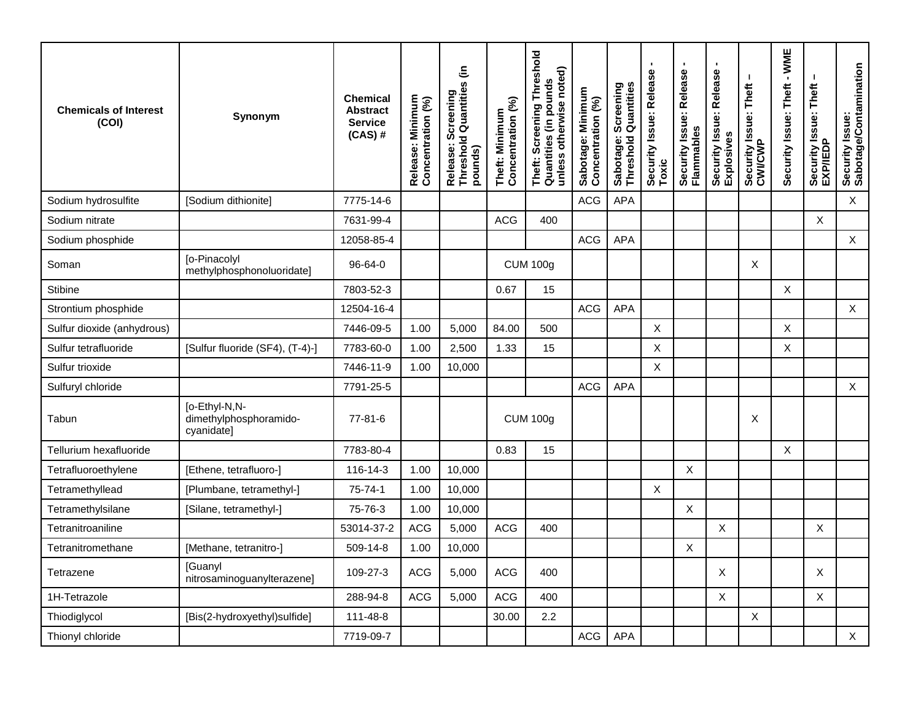| <b>Chemicals of Interest</b><br>(COI) | Synonym                                               | <b>Chemical</b><br><b>Abstract</b><br><b>Service</b><br>$(CAS)$ # | Release: Minimum<br>Concentration (%) | Release: Screening<br>Threshold Quantities (in<br>pounds) | Concentration (%)<br>Theft: Minimum | Threshold<br>unless otherwise noted)<br>Theft: Screening Thre<br>Quantities (in pounds | Sabotage: Minimum<br>Concentration (%) | Sabotage: Screening<br>Threshold Quantities | Security Issue: Release<br>Toxic | $\blacksquare$<br>Security Issue: Release<br>Flammables | Security Issue: Release<br>Explosives | ı<br>Security Issue: Theft<br>CWI/CWP | - WME<br>Security Issue: Theft | Security Issue: Theft<br>EXP/IEDP | Security Issue:<br>Sabotage/Contamination |
|---------------------------------------|-------------------------------------------------------|-------------------------------------------------------------------|---------------------------------------|-----------------------------------------------------------|-------------------------------------|----------------------------------------------------------------------------------------|----------------------------------------|---------------------------------------------|----------------------------------|---------------------------------------------------------|---------------------------------------|---------------------------------------|--------------------------------|-----------------------------------|-------------------------------------------|
| Sodium hydrosulfite                   | [Sodium dithionite]                                   | 7775-14-6                                                         |                                       |                                                           |                                     |                                                                                        | <b>ACG</b>                             | APA                                         |                                  |                                                         |                                       |                                       |                                |                                   | $\mathsf X$                               |
| Sodium nitrate                        |                                                       | 7631-99-4                                                         |                                       |                                                           | <b>ACG</b>                          | 400                                                                                    |                                        |                                             |                                  |                                                         |                                       |                                       |                                | X                                 |                                           |
| Sodium phosphide                      |                                                       | 12058-85-4                                                        |                                       |                                                           |                                     |                                                                                        | <b>ACG</b>                             | APA                                         |                                  |                                                         |                                       |                                       |                                |                                   | $\mathsf X$                               |
| Soman                                 | [o-Pinacolyl<br>methylphosphonoluoridate]             | $96 - 64 - 0$                                                     |                                       |                                                           | <b>CUM 100g</b>                     |                                                                                        |                                        |                                             |                                  |                                                         |                                       | X                                     |                                |                                   |                                           |
| Stibine                               |                                                       | 7803-52-3                                                         |                                       |                                                           | 0.67                                | 15                                                                                     |                                        |                                             |                                  |                                                         |                                       |                                       | X                              |                                   |                                           |
| Strontium phosphide                   |                                                       | 12504-16-4                                                        |                                       |                                                           |                                     |                                                                                        | <b>ACG</b>                             | APA                                         |                                  |                                                         |                                       |                                       |                                |                                   | $\mathsf{X}$                              |
| Sulfur dioxide (anhydrous)            |                                                       | 7446-09-5                                                         | 1.00                                  | 5,000                                                     | 84.00                               | 500                                                                                    |                                        |                                             | X                                |                                                         |                                       |                                       | X                              |                                   |                                           |
| Sulfur tetrafluoride                  | [Sulfur fluoride (SF4), (T-4)-]                       | 7783-60-0                                                         | 1.00                                  | 2,500                                                     | 1.33                                | 15                                                                                     |                                        |                                             | X                                |                                                         |                                       |                                       | $\mathsf X$                    |                                   |                                           |
| Sulfur trioxide                       |                                                       | 7446-11-9                                                         | 1.00                                  | 10,000                                                    |                                     |                                                                                        |                                        |                                             | X                                |                                                         |                                       |                                       |                                |                                   |                                           |
| Sulfuryl chloride                     |                                                       | 7791-25-5                                                         |                                       |                                                           |                                     |                                                                                        | <b>ACG</b>                             | APA                                         |                                  |                                                         |                                       |                                       |                                |                                   | $\mathsf{X}$                              |
| Tabun                                 | [o-Ethyl-N,N-<br>dimethylphosphoramido-<br>cyanidatel | $77 - 81 - 6$                                                     |                                       |                                                           |                                     | <b>CUM 100g</b>                                                                        |                                        |                                             |                                  |                                                         |                                       | X                                     |                                |                                   |                                           |
| Tellurium hexafluoride                |                                                       | 7783-80-4                                                         |                                       |                                                           | 0.83                                | 15                                                                                     |                                        |                                             |                                  |                                                         |                                       |                                       | X                              |                                   |                                           |
| Tetrafluoroethylene                   | [Ethene, tetrafluoro-]                                | $116 - 14 - 3$                                                    | 1.00                                  | 10,000                                                    |                                     |                                                                                        |                                        |                                             |                                  | $\mathsf{X}$                                            |                                       |                                       |                                |                                   |                                           |
| Tetramethyllead                       | [Plumbane, tetramethyl-]                              | 75-74-1                                                           | 1.00                                  | 10,000                                                    |                                     |                                                                                        |                                        |                                             | X                                |                                                         |                                       |                                       |                                |                                   |                                           |
| Tetramethylsilane                     | [Silane, tetramethyl-]                                | 75-76-3                                                           | 1.00                                  | 10,000                                                    |                                     |                                                                                        |                                        |                                             |                                  | $\boldsymbol{X}$                                        |                                       |                                       |                                |                                   |                                           |
| Tetranitroaniline                     |                                                       | 53014-37-2                                                        | <b>ACG</b>                            | 5,000                                                     | <b>ACG</b>                          | 400                                                                                    |                                        |                                             |                                  |                                                         | X                                     |                                       |                                | X                                 |                                           |
| Tetranitromethane                     | [Methane, tetranitro-]                                | 509-14-8                                                          | 1.00                                  | 10,000                                                    |                                     |                                                                                        |                                        |                                             |                                  | X                                                       |                                       |                                       |                                |                                   |                                           |
| Tetrazene                             | <b>[Guanyl</b><br>nitrosaminoguanylterazene]          | 109-27-3                                                          | <b>ACG</b>                            | 5,000                                                     | <b>ACG</b>                          | 400                                                                                    |                                        |                                             |                                  |                                                         | X                                     |                                       |                                | X                                 |                                           |
| 1H-Tetrazole                          |                                                       | 288-94-8                                                          | <b>ACG</b>                            | 5,000                                                     | <b>ACG</b>                          | 400                                                                                    |                                        |                                             |                                  |                                                         | X                                     |                                       |                                | X                                 |                                           |
| Thiodiglycol                          | [Bis(2-hydroxyethyl)sulfide]                          | 111-48-8                                                          |                                       |                                                           | 30.00                               | 2.2                                                                                    |                                        |                                             |                                  |                                                         |                                       | X                                     |                                |                                   |                                           |
| Thionyl chloride                      |                                                       | 7719-09-7                                                         |                                       |                                                           |                                     |                                                                                        | <b>ACG</b>                             | <b>APA</b>                                  |                                  |                                                         |                                       |                                       |                                |                                   | $\mathsf{X}$                              |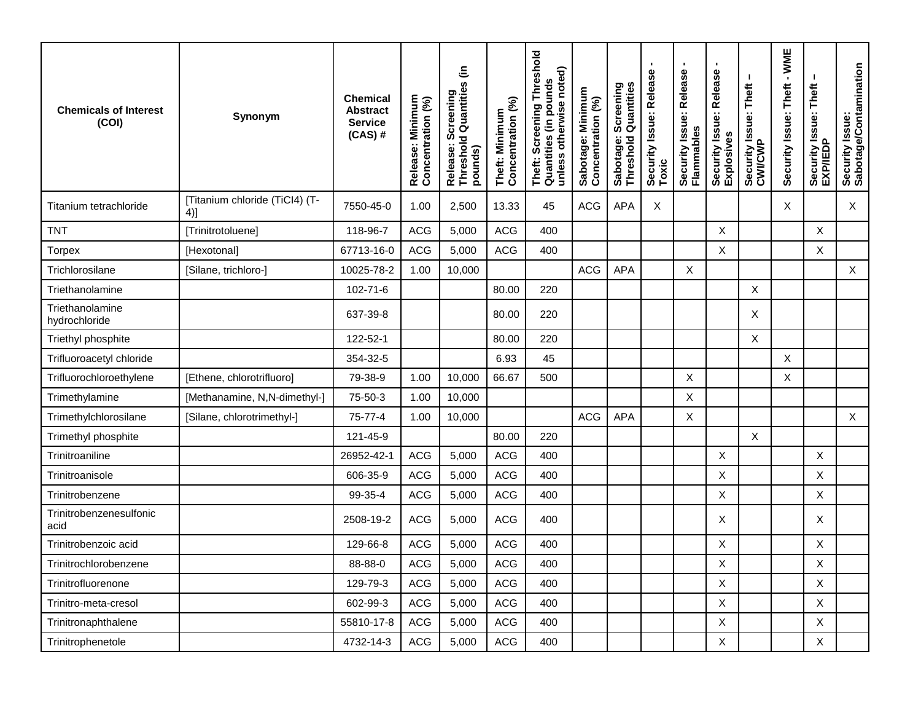| <b>Chemicals of Interest</b><br>(COI) | Synonym                               | <b>Chemical</b><br><b>Abstract</b><br><b>Service</b><br>$(CAS)$ # | Release: Minimum<br>Concentration (%) | Release: Screening<br>Threshold Quantities (in<br>pounds) | Theft: Minimum<br>Concentration (%) | eshold<br>unless otherwise noted)<br>Theft: Screening Thre<br>Quantities (in pounds | Sabotage: Minimum<br>Concentration (%) | Screening<br>  Quantities<br>Sabotage:<br>Threshold | $\blacksquare$<br>Security Issue: Release<br>Toxic | $\blacksquare$<br>Security Issue: Release<br>Flammables | Security Issue: Release<br>Explosives | Security Issue: Theft<br>CWI/CWP | $-WME$<br>Security Issue: Theft | Security Issue: Theft<br>EXP/IEDP | Security Issue:<br>Sabotage/Contamination |
|---------------------------------------|---------------------------------------|-------------------------------------------------------------------|---------------------------------------|-----------------------------------------------------------|-------------------------------------|-------------------------------------------------------------------------------------|----------------------------------------|-----------------------------------------------------|----------------------------------------------------|---------------------------------------------------------|---------------------------------------|----------------------------------|---------------------------------|-----------------------------------|-------------------------------------------|
| Titanium tetrachloride                | [Titanium chloride (TiCl4) (T-<br>4)] | 7550-45-0                                                         | 1.00                                  | 2,500                                                     | 13.33                               | 45                                                                                  | <b>ACG</b>                             | <b>APA</b>                                          | Χ                                                  |                                                         |                                       |                                  | Χ                               |                                   | X                                         |
| <b>TNT</b>                            | [Trinitrotoluene]                     | 118-96-7                                                          | <b>ACG</b>                            | 5,000                                                     | <b>ACG</b>                          | 400                                                                                 |                                        |                                                     |                                                    |                                                         | $\mathsf X$                           |                                  |                                 | $\mathsf X$                       |                                           |
| <b>Torpex</b>                         | [Hexotonal]                           | 67713-16-0                                                        | <b>ACG</b>                            | 5,000                                                     | <b>ACG</b>                          | 400                                                                                 |                                        |                                                     |                                                    |                                                         | $\boldsymbol{\mathsf{X}}$             |                                  |                                 | X                                 |                                           |
| Trichlorosilane                       | [Silane, trichloro-]                  | 10025-78-2                                                        | 1.00                                  | 10,000                                                    |                                     |                                                                                     | <b>ACG</b>                             | <b>APA</b>                                          |                                                    | X                                                       |                                       |                                  |                                 |                                   | $\mathsf X$                               |
| Triethanolamine                       |                                       | 102-71-6                                                          |                                       |                                                           | 80.00                               | 220                                                                                 |                                        |                                                     |                                                    |                                                         |                                       | X                                |                                 |                                   |                                           |
| Triethanolamine<br>hydrochloride      |                                       | 637-39-8                                                          |                                       |                                                           | 80.00                               | 220                                                                                 |                                        |                                                     |                                                    |                                                         |                                       | X                                |                                 |                                   |                                           |
| Triethyl phosphite                    |                                       | 122-52-1                                                          |                                       |                                                           | 80.00                               | 220                                                                                 |                                        |                                                     |                                                    |                                                         |                                       | X                                |                                 |                                   |                                           |
| Trifluoroacetyl chloride              |                                       | 354-32-5                                                          |                                       |                                                           | 6.93                                | 45                                                                                  |                                        |                                                     |                                                    |                                                         |                                       |                                  | X                               |                                   |                                           |
| Trifluorochloroethylene               | [Ethene, chlorotrifluoro]             | 79-38-9                                                           | 1.00                                  | 10,000                                                    | 66.67                               | 500                                                                                 |                                        |                                                     |                                                    | $\boldsymbol{\mathsf{X}}$                               |                                       |                                  | Χ                               |                                   |                                           |
| Trimethylamine                        | [Methanamine, N,N-dimethyl-]          | 75-50-3                                                           | 1.00                                  | 10,000                                                    |                                     |                                                                                     |                                        |                                                     |                                                    | X                                                       |                                       |                                  |                                 |                                   |                                           |
| Trimethylchlorosilane                 | [Silane, chlorotrimethyl-]            | 75-77-4                                                           | 1.00                                  | 10,000                                                    |                                     |                                                                                     | <b>ACG</b>                             | <b>APA</b>                                          |                                                    | X                                                       |                                       |                                  |                                 |                                   | $\mathsf X$                               |
| Trimethyl phosphite                   |                                       | 121-45-9                                                          |                                       |                                                           | 80.00                               | 220                                                                                 |                                        |                                                     |                                                    |                                                         |                                       | X                                |                                 |                                   |                                           |
| Trinitroaniline                       |                                       | 26952-42-1                                                        | <b>ACG</b>                            | 5,000                                                     | <b>ACG</b>                          | 400                                                                                 |                                        |                                                     |                                                    |                                                         | X                                     |                                  |                                 | Χ                                 |                                           |
| Trinitroanisole                       |                                       | 606-35-9                                                          | <b>ACG</b>                            | 5,000                                                     | <b>ACG</b>                          | 400                                                                                 |                                        |                                                     |                                                    |                                                         | $\boldsymbol{\mathsf{X}}$             |                                  |                                 | Χ                                 |                                           |
| Trinitrobenzene                       |                                       | 99-35-4                                                           | <b>ACG</b>                            | 5,000                                                     | <b>ACG</b>                          | 400                                                                                 |                                        |                                                     |                                                    |                                                         | $\boldsymbol{\mathsf{X}}$             |                                  |                                 | X                                 |                                           |
| Trinitrobenzenesulfonic<br>acid       |                                       | 2508-19-2                                                         | <b>ACG</b>                            | 5,000                                                     | <b>ACG</b>                          | 400                                                                                 |                                        |                                                     |                                                    |                                                         | Χ                                     |                                  |                                 | Χ                                 |                                           |
| Trinitrobenzoic acid                  |                                       | 129-66-8                                                          | <b>ACG</b>                            | 5,000                                                     | <b>ACG</b>                          | 400                                                                                 |                                        |                                                     |                                                    |                                                         | $\mathsf X$                           |                                  |                                 | Χ                                 |                                           |
| Trinitrochlorobenzene                 |                                       | 88-88-0                                                           | ACG                                   | 5,000                                                     | ACG                                 | 400                                                                                 |                                        |                                                     |                                                    |                                                         | X                                     |                                  |                                 | Χ                                 |                                           |
| Trinitrofluorenone                    |                                       | 129-79-3                                                          | ACG                                   | 5,000                                                     | <b>ACG</b>                          | 400                                                                                 |                                        |                                                     |                                                    |                                                         | $\sf X$                               |                                  |                                 | X                                 |                                           |
| Trinitro-meta-cresol                  |                                       | 602-99-3                                                          | ACG                                   | 5,000                                                     | <b>ACG</b>                          | 400                                                                                 |                                        |                                                     |                                                    |                                                         | $\mathsf X$                           |                                  |                                 | X                                 |                                           |
| Trinitronaphthalene                   |                                       | 55810-17-8                                                        | ACG                                   | 5,000                                                     | <b>ACG</b>                          | 400                                                                                 |                                        |                                                     |                                                    |                                                         | $\mathsf X$                           |                                  |                                 | X                                 |                                           |
| Trinitrophenetole                     |                                       | 4732-14-3                                                         | ACG                                   | 5,000                                                     | ACG                                 | 400                                                                                 |                                        |                                                     |                                                    |                                                         | $\mathsf X$                           |                                  |                                 | X                                 |                                           |